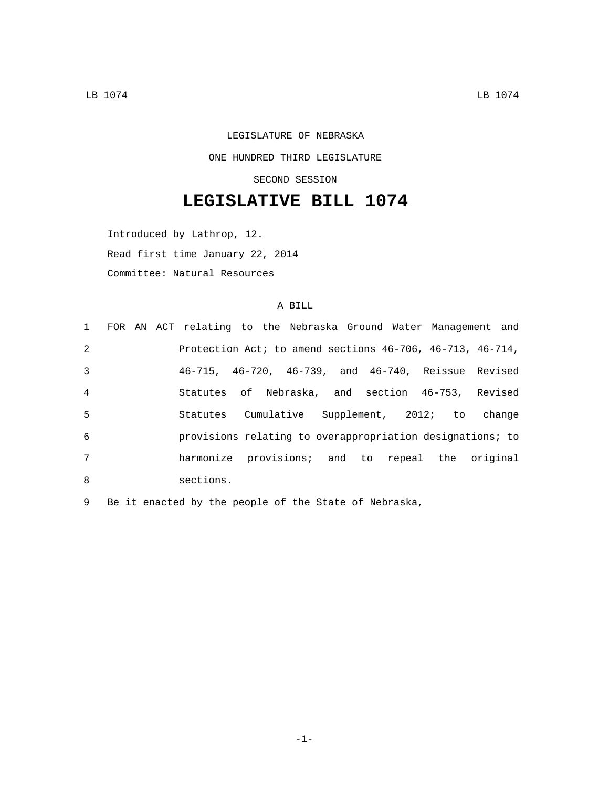## LEGISLATURE OF NEBRASKA ONE HUNDRED THIRD LEGISLATURE SECOND SESSION

## **LEGISLATIVE BILL 1074**

Introduced by Lathrop, 12. Read first time January 22, 2014 Committee: Natural Resources

## A BILL

|                |  | 1 FOR AN ACT relating to the Nebraska Ground Water Management and  |  |  |  |  |  |
|----------------|--|--------------------------------------------------------------------|--|--|--|--|--|
| 2              |  | Protection Act; to amend sections $46-706$ , $46-713$ , $46-714$ , |  |  |  |  |  |
| 3              |  | 46-715, 46-720, 46-739, and 46-740, Reissue Revised                |  |  |  |  |  |
| $\overline{4}$ |  | Statutes of Nebraska, and section 46-753, Revised                  |  |  |  |  |  |
| 5              |  | Statutes Cumulative Supplement, 2012; to change                    |  |  |  |  |  |
| 6              |  | provisions relating to overappropriation designations; to          |  |  |  |  |  |
| 7              |  | harmonize provisions; and to repeal the original                   |  |  |  |  |  |
| 8              |  | sections.                                                          |  |  |  |  |  |

9 Be it enacted by the people of the State of Nebraska,

-1-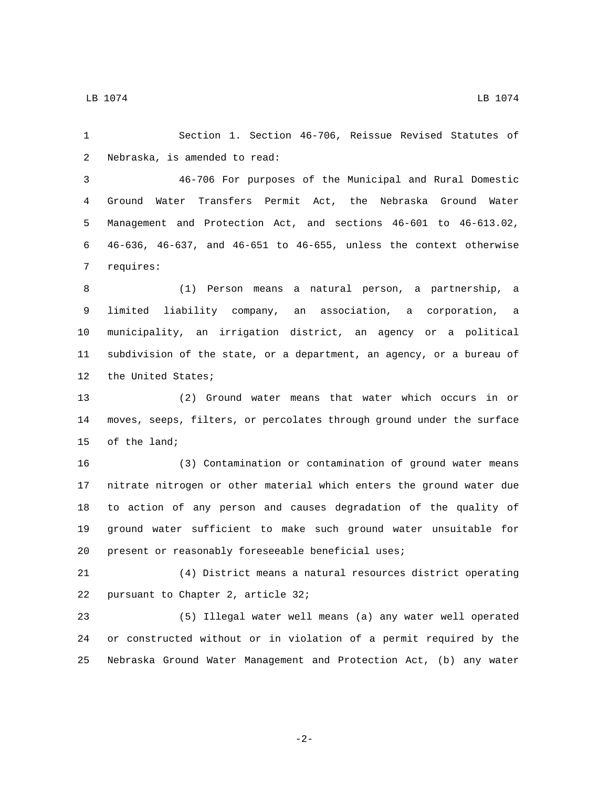LB 1074 LB 1074

 Section 1. Section 46-706, Reissue Revised Statutes of 2 Nebraska, is amended to read: 46-706 For purposes of the Municipal and Rural Domestic Ground Water Transfers Permit Act, the Nebraska Ground Water Management and Protection Act, and sections 46-601 to 46-613.02, 46-636, 46-637, and 46-651 to 46-655, unless the context otherwise 7 requires: (1) Person means a natural person, a partnership, a limited liability company, an association, a corporation, a municipality, an irrigation district, an agency or a political subdivision of the state, or a department, an agency, or a bureau of 12 the United States; (2) Ground water means that water which occurs in or moves, seeps, filters, or percolates through ground under the surface 15 of the land; (3) Contamination or contamination of ground water means nitrate nitrogen or other material which enters the ground water due to action of any person and causes degradation of the quality of ground water sufficient to make such ground water unsuitable for present or reasonably foreseeable beneficial uses; (4) District means a natural resources district operating 22 pursuant to Chapter 2, article 32; (5) Illegal water well means (a) any water well operated or constructed without or in violation of a permit required by the

-2-

Nebraska Ground Water Management and Protection Act, (b) any water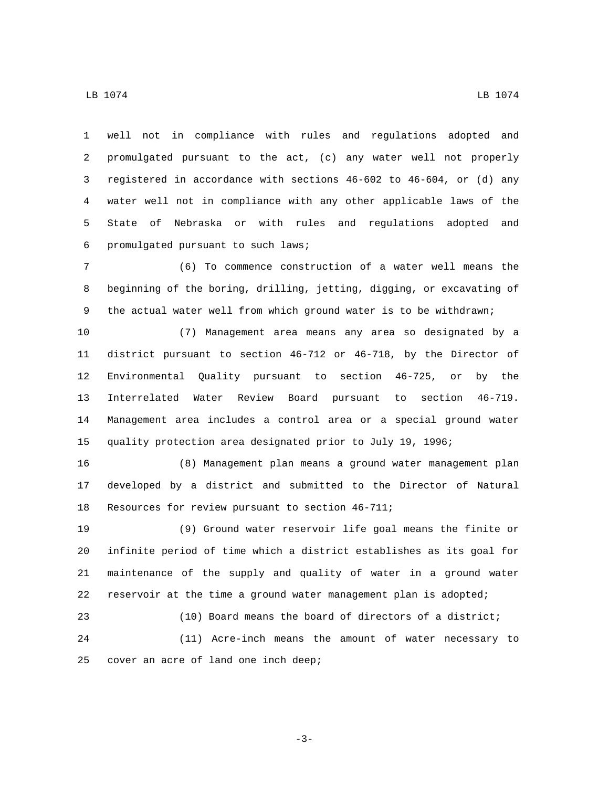well not in compliance with rules and regulations adopted and promulgated pursuant to the act, (c) any water well not properly registered in accordance with sections 46-602 to 46-604, or (d) any water well not in compliance with any other applicable laws of the State of Nebraska or with rules and regulations adopted and promulgated pursuant to such laws;6

 (6) To commence construction of a water well means the beginning of the boring, drilling, jetting, digging, or excavating of the actual water well from which ground water is to be withdrawn;

 (7) Management area means any area so designated by a district pursuant to section 46-712 or 46-718, by the Director of Environmental Quality pursuant to section 46-725, or by the Interrelated Water Review Board pursuant to section 46-719. Management area includes a control area or a special ground water quality protection area designated prior to July 19, 1996;

 (8) Management plan means a ground water management plan developed by a district and submitted to the Director of Natural 18 Resources for review pursuant to section 46-711;

 (9) Ground water reservoir life goal means the finite or infinite period of time which a district establishes as its goal for maintenance of the supply and quality of water in a ground water reservoir at the time a ground water management plan is adopted;

 (10) Board means the board of directors of a district; (11) Acre-inch means the amount of water necessary to 25 cover an acre of land one inch deep;

-3-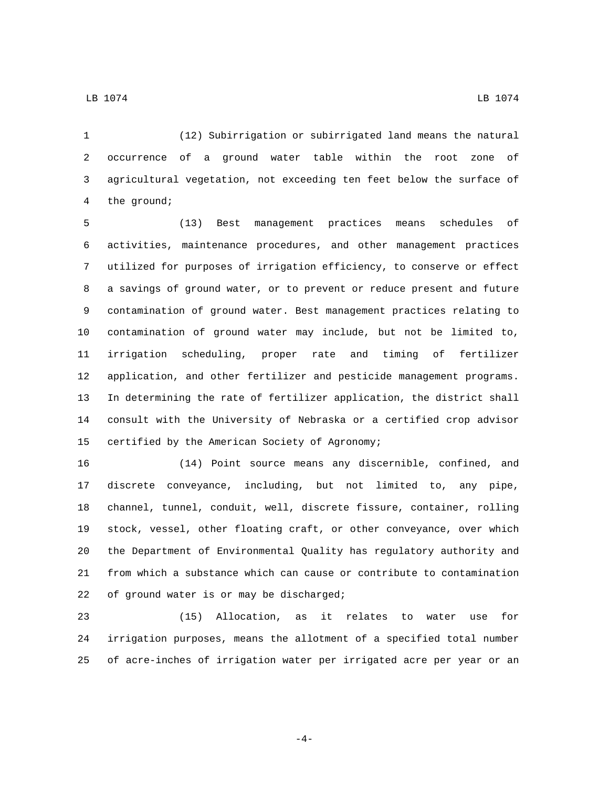(12) Subirrigation or subirrigated land means the natural occurrence of a ground water table within the root zone of agricultural vegetation, not exceeding ten feet below the surface of 4 the ground;

 (13) Best management practices means schedules of activities, maintenance procedures, and other management practices utilized for purposes of irrigation efficiency, to conserve or effect a savings of ground water, or to prevent or reduce present and future contamination of ground water. Best management practices relating to contamination of ground water may include, but not be limited to, irrigation scheduling, proper rate and timing of fertilizer application, and other fertilizer and pesticide management programs. In determining the rate of fertilizer application, the district shall consult with the University of Nebraska or a certified crop advisor 15 certified by the American Society of Agronomy;

 (14) Point source means any discernible, confined, and discrete conveyance, including, but not limited to, any pipe, channel, tunnel, conduit, well, discrete fissure, container, rolling stock, vessel, other floating craft, or other conveyance, over which the Department of Environmental Quality has regulatory authority and from which a substance which can cause or contribute to contamination 22 of ground water is or may be discharged;

 (15) Allocation, as it relates to water use for irrigation purposes, means the allotment of a specified total number of acre-inches of irrigation water per irrigated acre per year or an

LB 1074 LB 1074

-4-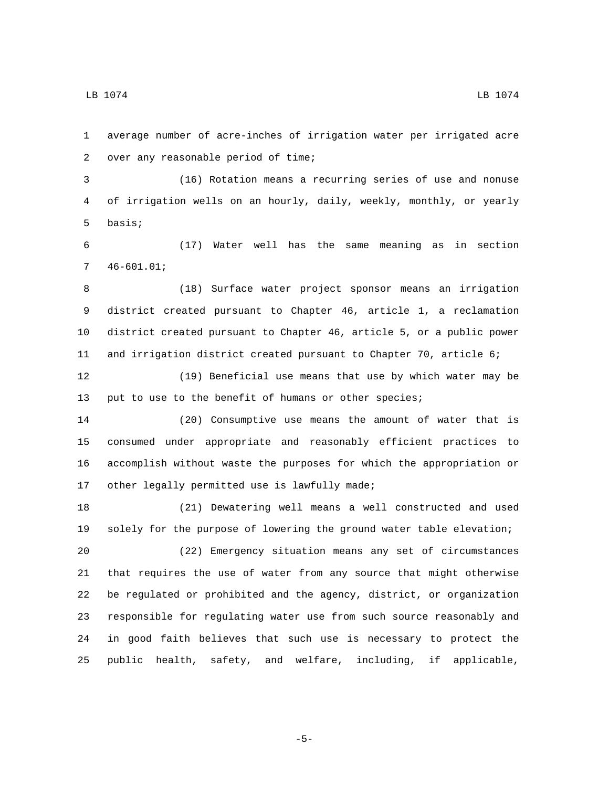average number of acre-inches of irrigation water per irrigated acre 2 over any reasonable period of time;

 (16) Rotation means a recurring series of use and nonuse of irrigation wells on an hourly, daily, weekly, monthly, or yearly 5 basis;

 (17) Water well has the same meaning as in section  $746-601.01;$ 

 (18) Surface water project sponsor means an irrigation district created pursuant to Chapter 46, article 1, a reclamation district created pursuant to Chapter 46, article 5, or a public power and irrigation district created pursuant to Chapter 70, article 6;

 (19) Beneficial use means that use by which water may be 13 put to use to the benefit of humans or other species;

 (20) Consumptive use means the amount of water that is consumed under appropriate and reasonably efficient practices to accomplish without waste the purposes for which the appropriation or 17 other legally permitted use is lawfully made;

 (21) Dewatering well means a well constructed and used solely for the purpose of lowering the ground water table elevation;

 (22) Emergency situation means any set of circumstances that requires the use of water from any source that might otherwise be regulated or prohibited and the agency, district, or organization responsible for regulating water use from such source reasonably and in good faith believes that such use is necessary to protect the public health, safety, and welfare, including, if applicable,

-5-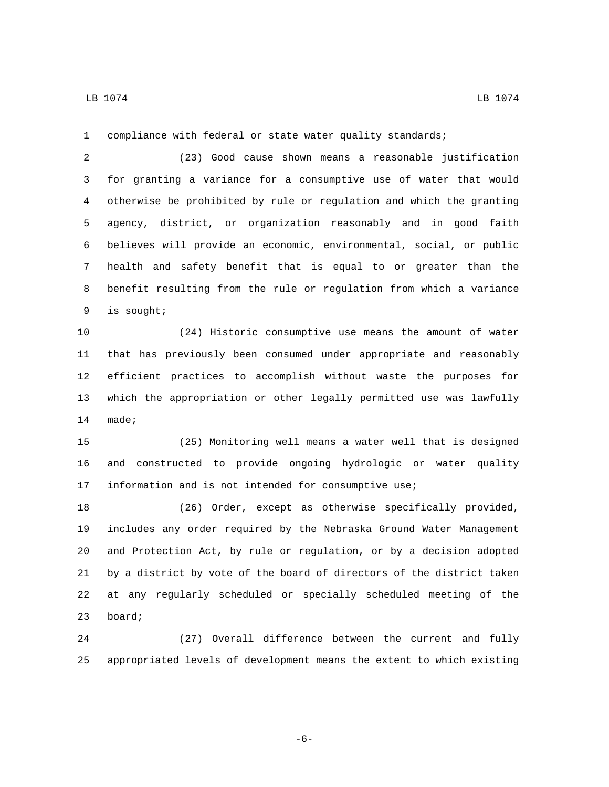compliance with federal or state water quality standards;

 (23) Good cause shown means a reasonable justification for granting a variance for a consumptive use of water that would otherwise be prohibited by rule or regulation and which the granting agency, district, or organization reasonably and in good faith believes will provide an economic, environmental, social, or public health and safety benefit that is equal to or greater than the benefit resulting from the rule or regulation from which a variance is sought;9

 (24) Historic consumptive use means the amount of water that has previously been consumed under appropriate and reasonably efficient practices to accomplish without waste the purposes for which the appropriation or other legally permitted use was lawfully 14 made;

 (25) Monitoring well means a water well that is designed and constructed to provide ongoing hydrologic or water quality information and is not intended for consumptive use;

 (26) Order, except as otherwise specifically provided, includes any order required by the Nebraska Ground Water Management and Protection Act, by rule or regulation, or by a decision adopted by a district by vote of the board of directors of the district taken at any regularly scheduled or specially scheduled meeting of the 23 board;

 (27) Overall difference between the current and fully appropriated levels of development means the extent to which existing

-6-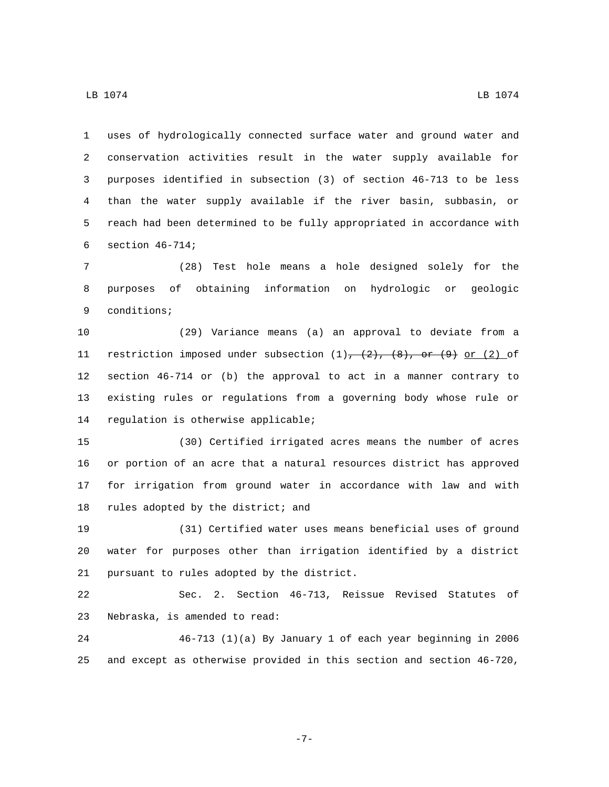uses of hydrologically connected surface water and ground water and conservation activities result in the water supply available for purposes identified in subsection (3) of section 46-713 to be less than the water supply available if the river basin, subbasin, or reach had been determined to be fully appropriated in accordance with 6 section  $46-714$ ;

 (28) Test hole means a hole designed solely for the purposes of obtaining information on hydrologic or geologic 9 conditions;

 (29) Variance means (a) an approval to deviate from a 11 restriction imposed under subsection  $(1)$ ,  $(2)$ ,  $(8)$ , or  $(9)$  or  $(2)$  of section 46-714 or (b) the approval to act in a manner contrary to existing rules or regulations from a governing body whose rule or 14 regulation is otherwise applicable;

 (30) Certified irrigated acres means the number of acres or portion of an acre that a natural resources district has approved for irrigation from ground water in accordance with law and with 18 rules adopted by the district; and

 (31) Certified water uses means beneficial uses of ground water for purposes other than irrigation identified by a district 21 pursuant to rules adopted by the district.

 Sec. 2. Section 46-713, Reissue Revised Statutes of 23 Nebraska, is amended to read:

 46-713 (1)(a) By January 1 of each year beginning in 2006 and except as otherwise provided in this section and section 46-720,

-7-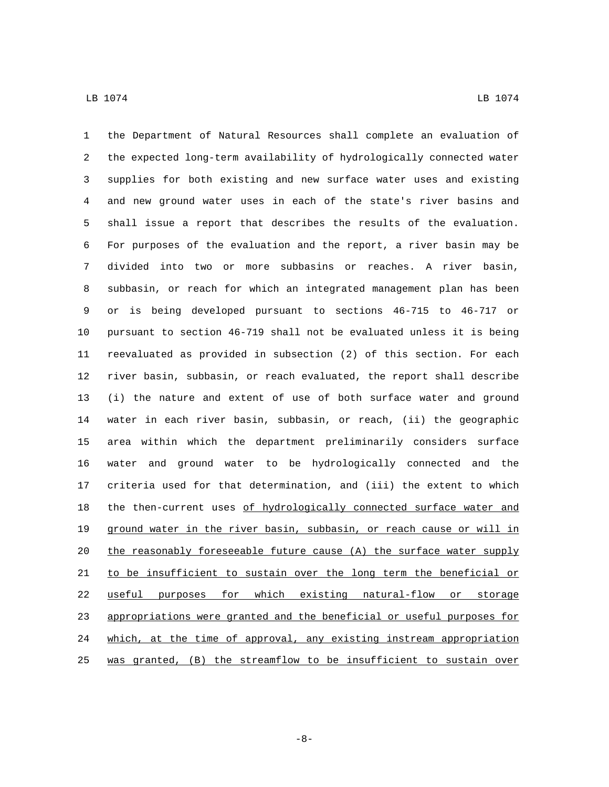the Department of Natural Resources shall complete an evaluation of the expected long-term availability of hydrologically connected water supplies for both existing and new surface water uses and existing and new ground water uses in each of the state's river basins and shall issue a report that describes the results of the evaluation. For purposes of the evaluation and the report, a river basin may be divided into two or more subbasins or reaches. A river basin, subbasin, or reach for which an integrated management plan has been or is being developed pursuant to sections 46-715 to 46-717 or pursuant to section 46-719 shall not be evaluated unless it is being reevaluated as provided in subsection (2) of this section. For each river basin, subbasin, or reach evaluated, the report shall describe (i) the nature and extent of use of both surface water and ground water in each river basin, subbasin, or reach, (ii) the geographic area within which the department preliminarily considers surface water and ground water to be hydrologically connected and the criteria used for that determination, and (iii) the extent to which 18 the then-current uses of hydrologically connected surface water and ground water in the river basin, subbasin, or reach cause or will in the reasonably foreseeable future cause (A) the surface water supply 21 to be insufficient to sustain over the long term the beneficial or useful purposes for which existing natural-flow or storage appropriations were granted and the beneficial or useful purposes for which, at the time of approval, any existing instream appropriation was granted, (B) the streamflow to be insufficient to sustain over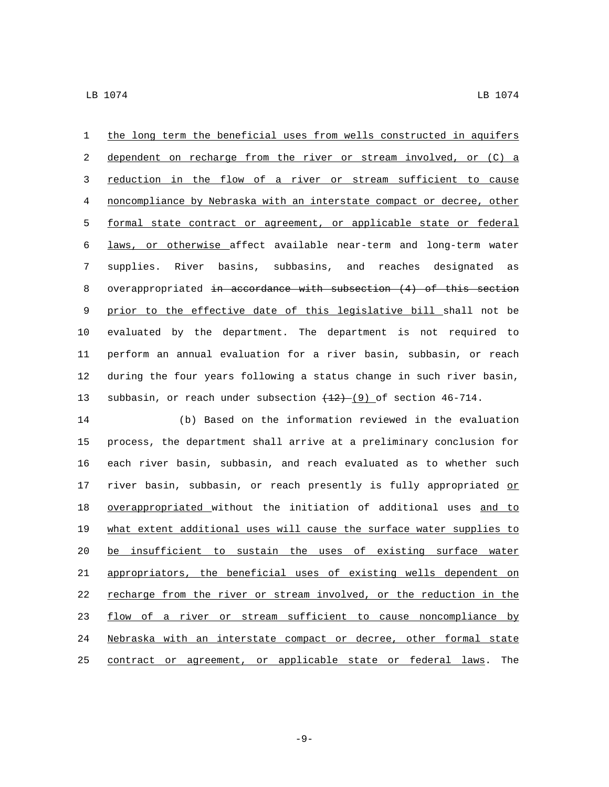the long term the beneficial uses from wells constructed in aquifers dependent on recharge from the river or stream involved, or (C) a reduction in the flow of a river or stream sufficient to cause noncompliance by Nebraska with an interstate compact or decree, other formal state contract or agreement, or applicable state or federal laws, or otherwise affect available near-term and long-term water supplies. River basins, subbasins, and reaches designated as overappropriated in accordance with subsection (4) of this section prior to the effective date of this legislative bill shall not be evaluated by the department. The department is not required to perform an annual evaluation for a river basin, subbasin, or reach during the four years following a status change in such river basin, 13 subbasin, or reach under subsection  $(12)$  (9) of section 46-714.

 (b) Based on the information reviewed in the evaluation process, the department shall arrive at a preliminary conclusion for each river basin, subbasin, and reach evaluated as to whether such 17 river basin, subbasin, or reach presently is fully appropriated or 18 overappropriated without the initiation of additional uses and to what extent additional uses will cause the surface water supplies to be insufficient to sustain the uses of existing surface water appropriators, the beneficial uses of existing wells dependent on recharge from the river or stream involved, or the reduction in the flow of a river or stream sufficient to cause noncompliance by Nebraska with an interstate compact or decree, other formal state contract or agreement, or applicable state or federal laws. The

-9-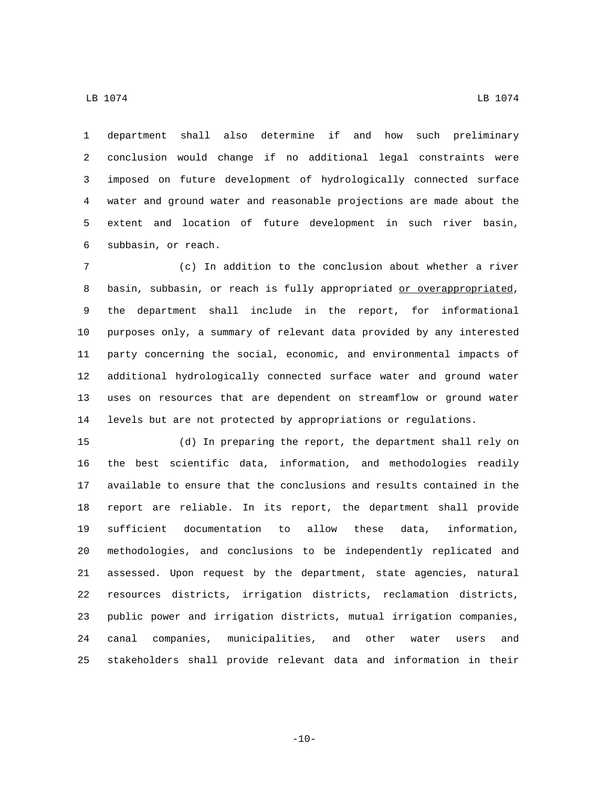department shall also determine if and how such preliminary conclusion would change if no additional legal constraints were imposed on future development of hydrologically connected surface water and ground water and reasonable projections are made about the extent and location of future development in such river basin, subbasin, or reach.6

 (c) In addition to the conclusion about whether a river 8 basin, subbasin, or reach is fully appropriated or overappropriated, the department shall include in the report, for informational purposes only, a summary of relevant data provided by any interested party concerning the social, economic, and environmental impacts of additional hydrologically connected surface water and ground water uses on resources that are dependent on streamflow or ground water levels but are not protected by appropriations or regulations.

 (d) In preparing the report, the department shall rely on the best scientific data, information, and methodologies readily available to ensure that the conclusions and results contained in the report are reliable. In its report, the department shall provide sufficient documentation to allow these data, information, methodologies, and conclusions to be independently replicated and assessed. Upon request by the department, state agencies, natural resources districts, irrigation districts, reclamation districts, public power and irrigation districts, mutual irrigation companies, canal companies, municipalities, and other water users and stakeholders shall provide relevant data and information in their

 $\,$  LB 1074  $\,$  LB 1074  $\,$ 

 $-10-$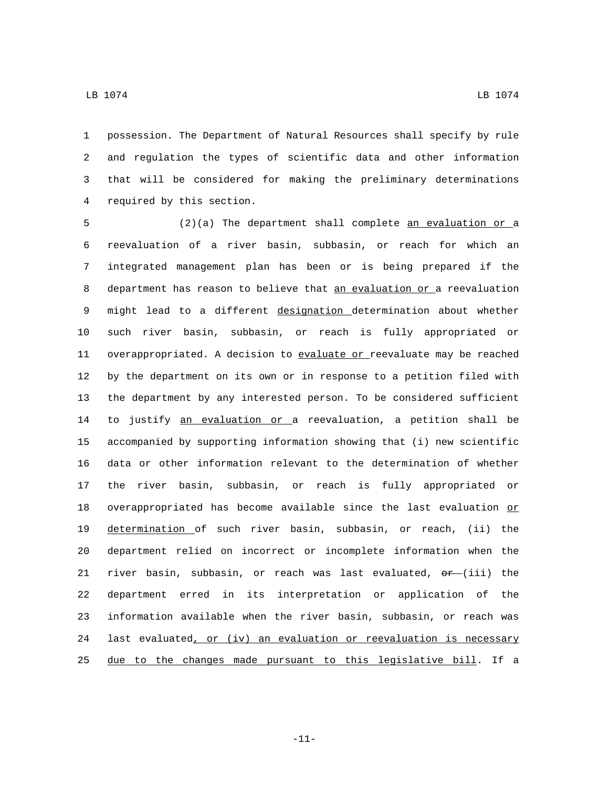possession. The Department of Natural Resources shall specify by rule and regulation the types of scientific data and other information that will be considered for making the preliminary determinations 4 required by this section.

 (2)(a) The department shall complete an evaluation or a reevaluation of a river basin, subbasin, or reach for which an integrated management plan has been or is being prepared if the 8 department has reason to believe that an evaluation or a reevaluation 9 might lead to a different designation determination about whether such river basin, subbasin, or reach is fully appropriated or 11 overappropriated. A decision to evaluate or reevaluate may be reached by the department on its own or in response to a petition filed with the department by any interested person. To be considered sufficient to justify an evaluation or a reevaluation, a petition shall be accompanied by supporting information showing that (i) new scientific data or other information relevant to the determination of whether the river basin, subbasin, or reach is fully appropriated or 18 overappropriated has become available since the last evaluation or determination of such river basin, subbasin, or reach, (ii) the department relied on incorrect or incomplete information when the 21 river basin, subbasin, or reach was last evaluated,  $\sigma r$  (iii) the department erred in its interpretation or application of the information available when the river basin, subbasin, or reach was 24 last evaluated, or (iv) an evaluation or reevaluation is necessary due to the changes made pursuant to this legislative bill. If a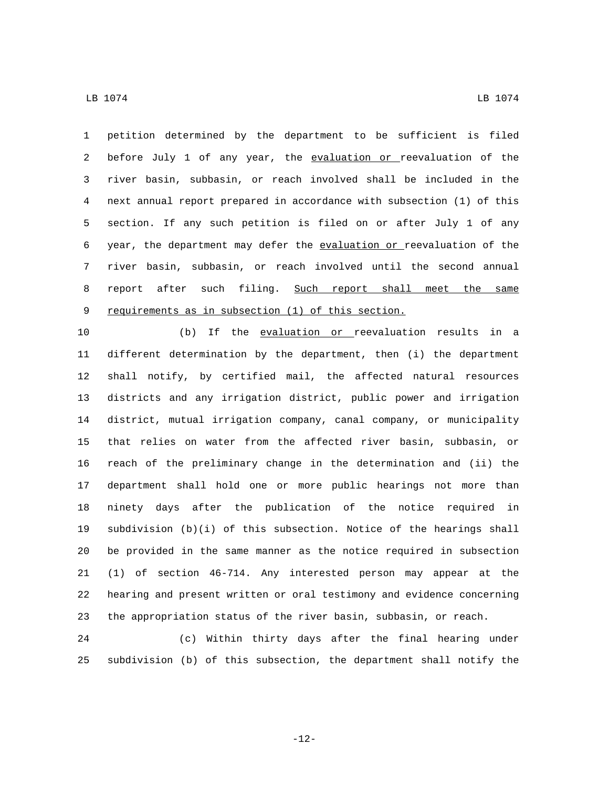petition determined by the department to be sufficient is filed 2 before July 1 of any year, the evaluation or reevaluation of the river basin, subbasin, or reach involved shall be included in the next annual report prepared in accordance with subsection (1) of this section. If any such petition is filed on or after July 1 of any year, the department may defer the evaluation or reevaluation of the river basin, subbasin, or reach involved until the second annual 8 report after such filing. Such report shall meet the same 9 requirements as in subsection (1) of this section.

 (b) If the evaluation or reevaluation results in a different determination by the department, then (i) the department shall notify, by certified mail, the affected natural resources districts and any irrigation district, public power and irrigation district, mutual irrigation company, canal company, or municipality that relies on water from the affected river basin, subbasin, or reach of the preliminary change in the determination and (ii) the department shall hold one or more public hearings not more than ninety days after the publication of the notice required in subdivision (b)(i) of this subsection. Notice of the hearings shall be provided in the same manner as the notice required in subsection (1) of section 46-714. Any interested person may appear at the hearing and present written or oral testimony and evidence concerning the appropriation status of the river basin, subbasin, or reach.

 (c) Within thirty days after the final hearing under subdivision (b) of this subsection, the department shall notify the

-12-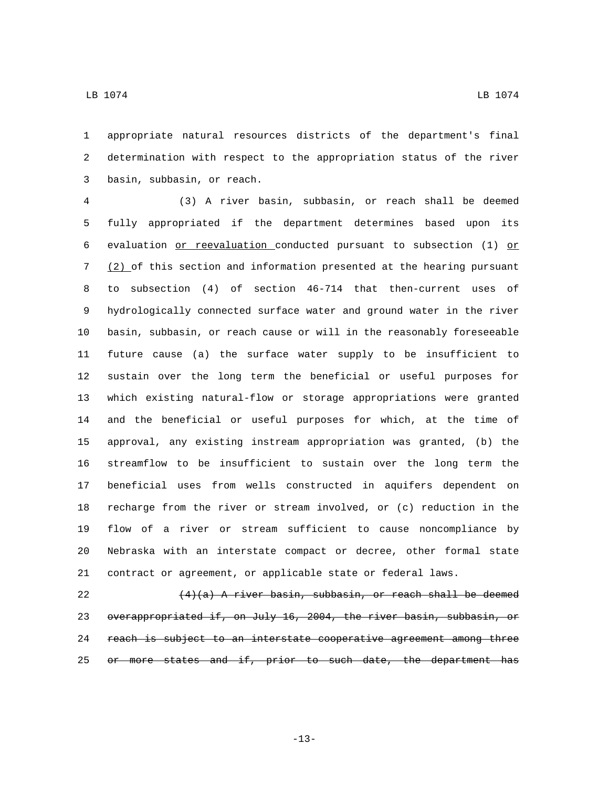appropriate natural resources districts of the department's final determination with respect to the appropriation status of the river basin, subbasin, or reach.3

 (3) A river basin, subbasin, or reach shall be deemed fully appropriated if the department determines based upon its 6 evaluation  $or$  reevaluation conducted pursuant to subsection (1)  $or$  (2) of this section and information presented at the hearing pursuant to subsection (4) of section 46-714 that then-current uses of hydrologically connected surface water and ground water in the river basin, subbasin, or reach cause or will in the reasonably foreseeable future cause (a) the surface water supply to be insufficient to sustain over the long term the beneficial or useful purposes for which existing natural-flow or storage appropriations were granted and the beneficial or useful purposes for which, at the time of approval, any existing instream appropriation was granted, (b) the streamflow to be insufficient to sustain over the long term the beneficial uses from wells constructed in aquifers dependent on recharge from the river or stream involved, or (c) reduction in the flow of a river or stream sufficient to cause noncompliance by Nebraska with an interstate compact or decree, other formal state contract or agreement, or applicable state or federal laws.

22  $(4)(a)$  A river basin, subbasin, or reach shall be deemed 23 overappropriated if, on July 16, 2004, the river basin, subbasin, or reach is subject to an interstate cooperative agreement among three 25 or more states and if, prior to such date, the department has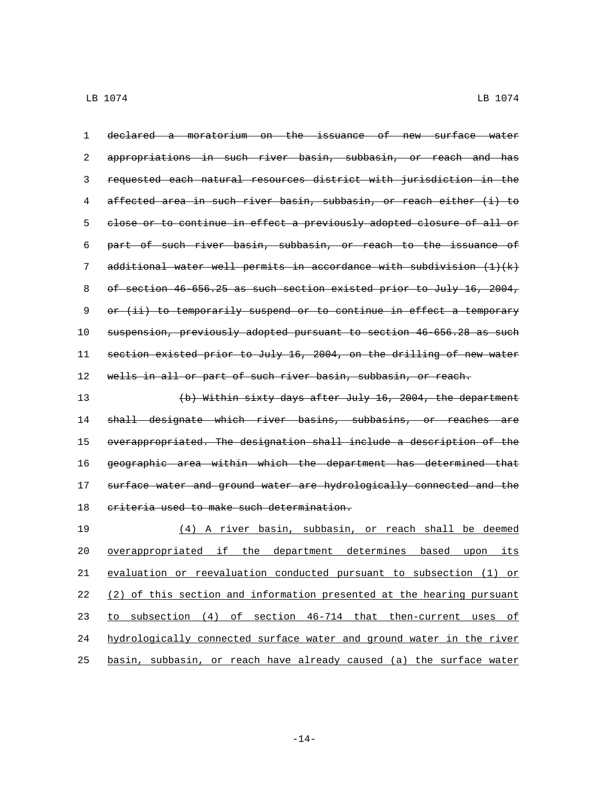declared a moratorium on the issuance of new surface water appropriations in such river basin, subbasin, or reach and has requested each natural resources district with jurisdiction in the affected area in such river basin, subbasin, or reach either (i) to close or to continue in effect a previously adopted closure of all or part of such river basin, subbasin, or reach to the issuance of 7 additional water well permits in accordance with subdivision  $(1)(k)$ 8 of section 46-656.25 as such section existed prior to July 16, 2004, 9 or (ii) to temporarily suspend or to continue in effect a temporary suspension, previously adopted pursuant to section 46-656.28 as such section existed prior to July 16, 2004, on the drilling of new water 12 wells in all or part of such river basin, subbasin, or reach. (b) Within sixty days after July 16, 2004, the department 14 shall designate which river basins, subbasins, or reaches are overappropriated. The designation shall include a description of the

 geographic area within which the department has determined that surface water and ground water are hydrologically connected and the 18 eriteria used to make such determination.

 (4) A river basin, subbasin, or reach shall be deemed 20 <u>overappropriated if the department determines based upon its</u> evaluation or reevaluation conducted pursuant to subsection (1) or (2) of this section and information presented at the hearing pursuant to subsection (4) of section 46-714 that then-current uses of hydrologically connected surface water and ground water in the river basin, subbasin, or reach have already caused (a) the surface water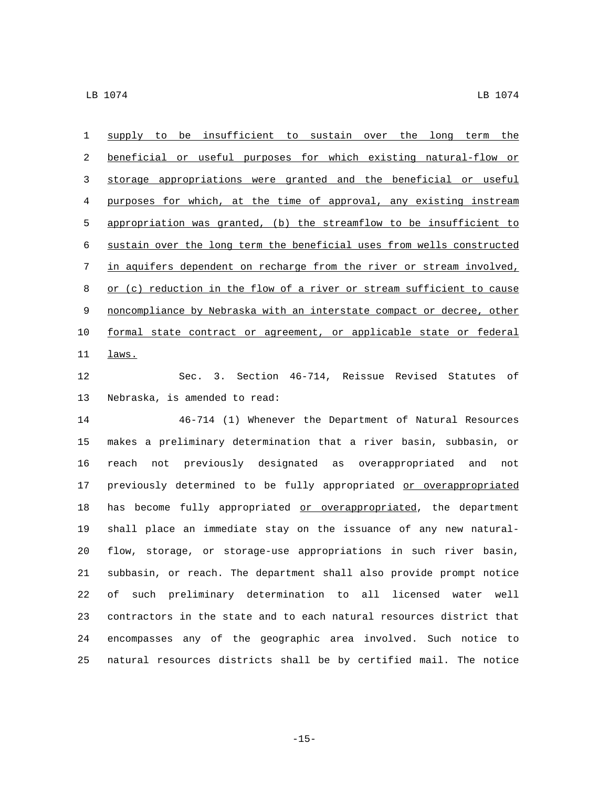supply to be insufficient to sustain over the long term the beneficial or useful purposes for which existing natural-flow or storage appropriations were granted and the beneficial or useful purposes for which, at the time of approval, any existing instream appropriation was granted, (b) the streamflow to be insufficient to sustain over the long term the beneficial uses from wells constructed in aquifers dependent on recharge from the river or stream involved, 8 or (c) reduction in the flow of a river or stream sufficient to cause noncompliance by Nebraska with an interstate compact or decree, other formal state contract or agreement, or applicable state or federal  $_{\underline{laws.}}$  Sec. 3. Section 46-714, Reissue Revised Statutes of 13 Nebraska, is amended to read: 46-714 (1) Whenever the Department of Natural Resources makes a preliminary determination that a river basin, subbasin, or

 reach not previously designated as overappropriated and not 17 previously determined to be fully appropriated or overappropriated 18 has become fully appropriated or overappropriated, the department shall place an immediate stay on the issuance of any new natural- flow, storage, or storage-use appropriations in such river basin, subbasin, or reach. The department shall also provide prompt notice of such preliminary determination to all licensed water well contractors in the state and to each natural resources district that encompasses any of the geographic area involved. Such notice to natural resources districts shall be by certified mail. The notice

-15-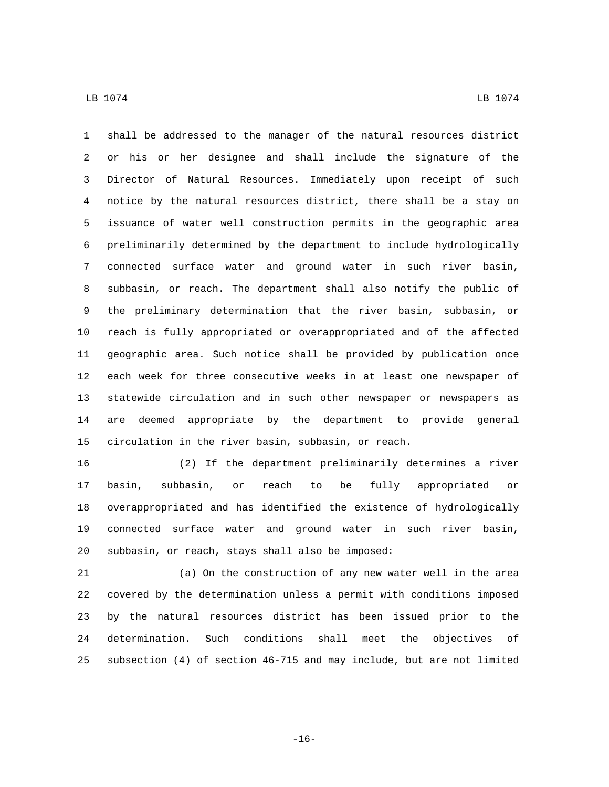shall be addressed to the manager of the natural resources district or his or her designee and shall include the signature of the Director of Natural Resources. Immediately upon receipt of such notice by the natural resources district, there shall be a stay on issuance of water well construction permits in the geographic area preliminarily determined by the department to include hydrologically connected surface water and ground water in such river basin, subbasin, or reach. The department shall also notify the public of the preliminary determination that the river basin, subbasin, or reach is fully appropriated or overappropriated and of the affected geographic area. Such notice shall be provided by publication once each week for three consecutive weeks in at least one newspaper of statewide circulation and in such other newspaper or newspapers as are deemed appropriate by the department to provide general circulation in the river basin, subbasin, or reach.

 (2) If the department preliminarily determines a river 17 basin, subbasin, or reach to be fully appropriated or overappropriated and has identified the existence of hydrologically connected surface water and ground water in such river basin, 20 subbasin, or reach, stays shall also be imposed:

 (a) On the construction of any new water well in the area covered by the determination unless a permit with conditions imposed by the natural resources district has been issued prior to the determination. Such conditions shall meet the objectives of subsection (4) of section 46-715 and may include, but are not limited

-16-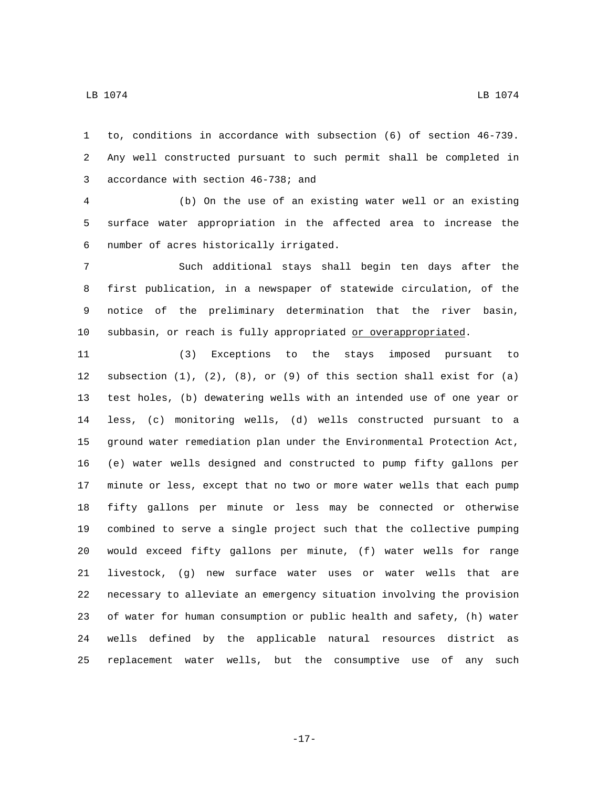to, conditions in accordance with subsection (6) of section 46-739. Any well constructed pursuant to such permit shall be completed in 3 accordance with section 46-738; and

 (b) On the use of an existing water well or an existing surface water appropriation in the affected area to increase the number of acres historically irrigated.6

 Such additional stays shall begin ten days after the first publication, in a newspaper of statewide circulation, of the notice of the preliminary determination that the river basin, 10 subbasin, or reach is fully appropriated or overappropriated.

 (3) Exceptions to the stays imposed pursuant to subsection (1), (2), (8), or (9) of this section shall exist for (a) test holes, (b) dewatering wells with an intended use of one year or less, (c) monitoring wells, (d) wells constructed pursuant to a ground water remediation plan under the Environmental Protection Act, (e) water wells designed and constructed to pump fifty gallons per minute or less, except that no two or more water wells that each pump fifty gallons per minute or less may be connected or otherwise combined to serve a single project such that the collective pumping would exceed fifty gallons per minute, (f) water wells for range livestock, (g) new surface water uses or water wells that are necessary to alleviate an emergency situation involving the provision of water for human consumption or public health and safety, (h) water wells defined by the applicable natural resources district as replacement water wells, but the consumptive use of any such

-17-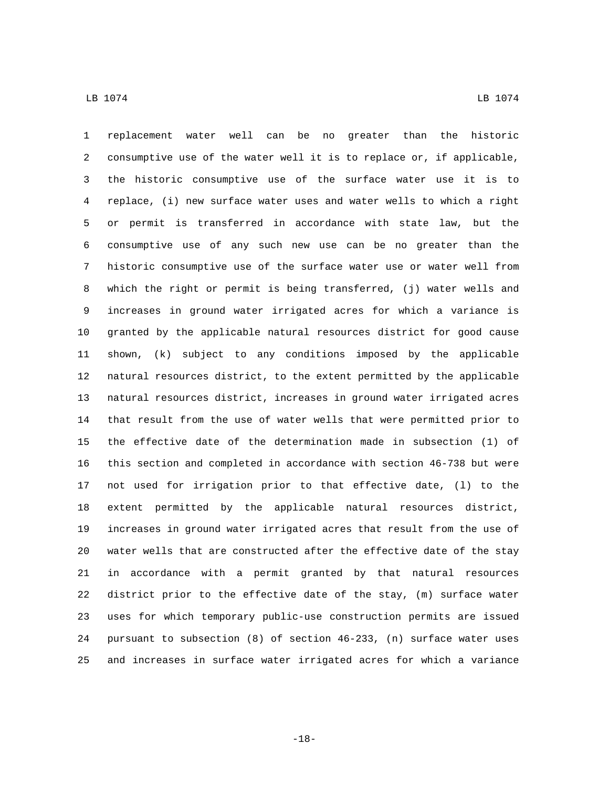replacement water well can be no greater than the historic consumptive use of the water well it is to replace or, if applicable, the historic consumptive use of the surface water use it is to replace, (i) new surface water uses and water wells to which a right or permit is transferred in accordance with state law, but the consumptive use of any such new use can be no greater than the historic consumptive use of the surface water use or water well from which the right or permit is being transferred, (j) water wells and increases in ground water irrigated acres for which a variance is granted by the applicable natural resources district for good cause shown, (k) subject to any conditions imposed by the applicable natural resources district, to the extent permitted by the applicable natural resources district, increases in ground water irrigated acres that result from the use of water wells that were permitted prior to the effective date of the determination made in subsection (1) of this section and completed in accordance with section 46-738 but were not used for irrigation prior to that effective date, (l) to the extent permitted by the applicable natural resources district, increases in ground water irrigated acres that result from the use of water wells that are constructed after the effective date of the stay in accordance with a permit granted by that natural resources district prior to the effective date of the stay, (m) surface water uses for which temporary public-use construction permits are issued pursuant to subsection (8) of section 46-233, (n) surface water uses and increases in surface water irrigated acres for which a variance

-18-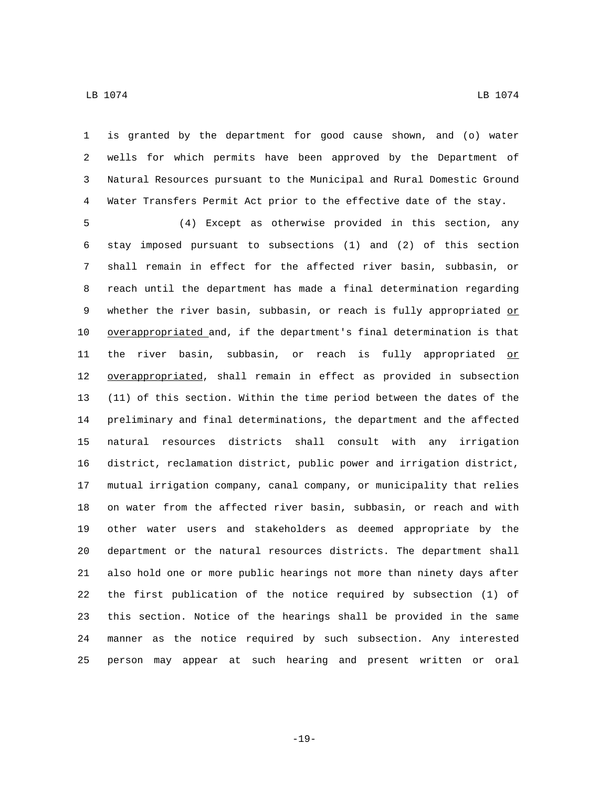is granted by the department for good cause shown, and (o) water wells for which permits have been approved by the Department of Natural Resources pursuant to the Municipal and Rural Domestic Ground Water Transfers Permit Act prior to the effective date of the stay.

 (4) Except as otherwise provided in this section, any stay imposed pursuant to subsections (1) and (2) of this section shall remain in effect for the affected river basin, subbasin, or reach until the department has made a final determination regarding 9 whether the river basin, subbasin, or reach is fully appropriated or overappropriated and, if the department's final determination is that 11 the river basin, subbasin, or reach is fully appropriated or 12 overappropriated, shall remain in effect as provided in subsection (11) of this section. Within the time period between the dates of the preliminary and final determinations, the department and the affected natural resources districts shall consult with any irrigation district, reclamation district, public power and irrigation district, mutual irrigation company, canal company, or municipality that relies on water from the affected river basin, subbasin, or reach and with other water users and stakeholders as deemed appropriate by the department or the natural resources districts. The department shall also hold one or more public hearings not more than ninety days after the first publication of the notice required by subsection (1) of this section. Notice of the hearings shall be provided in the same manner as the notice required by such subsection. Any interested person may appear at such hearing and present written or oral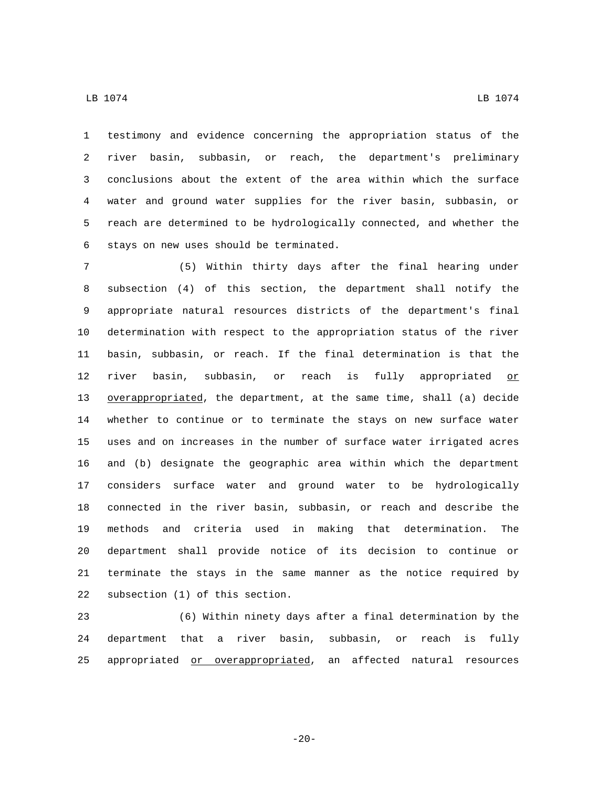testimony and evidence concerning the appropriation status of the river basin, subbasin, or reach, the department's preliminary conclusions about the extent of the area within which the surface water and ground water supplies for the river basin, subbasin, or reach are determined to be hydrologically connected, and whether the 6 stays on new uses should be terminated.

 (5) Within thirty days after the final hearing under subsection (4) of this section, the department shall notify the appropriate natural resources districts of the department's final determination with respect to the appropriation status of the river basin, subbasin, or reach. If the final determination is that the 12 river basin, subbasin, or reach is fully appropriated or overappropriated, the department, at the same time, shall (a) decide whether to continue or to terminate the stays on new surface water uses and on increases in the number of surface water irrigated acres and (b) designate the geographic area within which the department considers surface water and ground water to be hydrologically connected in the river basin, subbasin, or reach and describe the methods and criteria used in making that determination. The department shall provide notice of its decision to continue or terminate the stays in the same manner as the notice required by 22 subsection (1) of this section.

 (6) Within ninety days after a final determination by the department that a river basin, subbasin, or reach is fully appropriated or overappropriated, an affected natural resources

-20-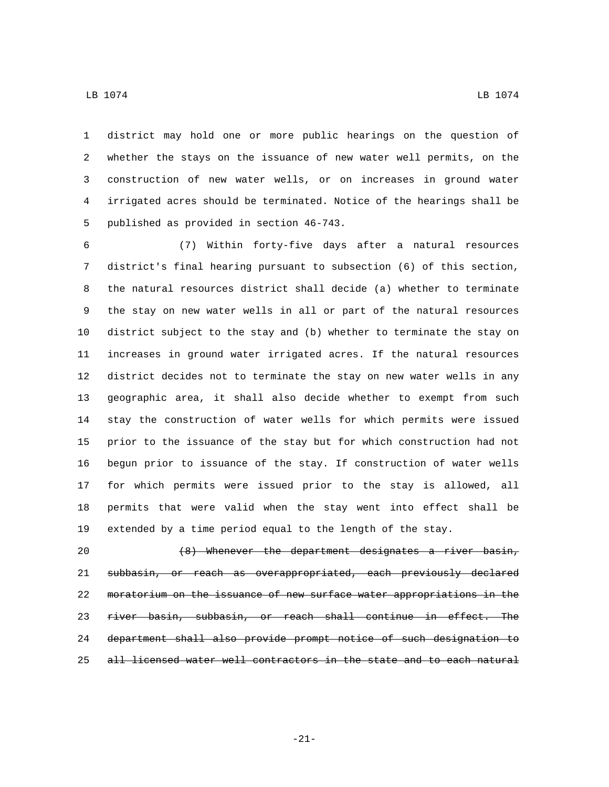district may hold one or more public hearings on the question of whether the stays on the issuance of new water well permits, on the

 construction of new water wells, or on increases in ground water irrigated acres should be terminated. Notice of the hearings shall be 5 published as provided in section 46-743.

 (7) Within forty-five days after a natural resources district's final hearing pursuant to subsection (6) of this section, the natural resources district shall decide (a) whether to terminate the stay on new water wells in all or part of the natural resources district subject to the stay and (b) whether to terminate the stay on increases in ground water irrigated acres. If the natural resources district decides not to terminate the stay on new water wells in any geographic area, it shall also decide whether to exempt from such stay the construction of water wells for which permits were issued prior to the issuance of the stay but for which construction had not begun prior to issuance of the stay. If construction of water wells for which permits were issued prior to the stay is allowed, all permits that were valid when the stay went into effect shall be extended by a time period equal to the length of the stay.

20 (8) Whenever the department designates a river basin, subbasin, or reach as overappropriated, each previously declared moratorium on the issuance of new surface water appropriations in the river basin, subbasin, or reach shall continue in effect. The department shall also provide prompt notice of such designation to all licensed water well contractors in the state and to each natural

-21-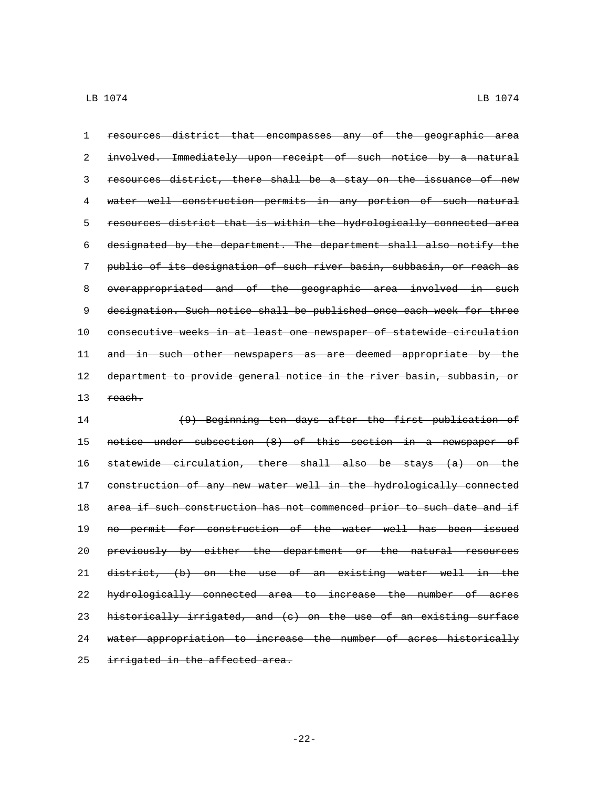resources district that encompasses any of the geographic area involved. Immediately upon receipt of such notice by a natural resources district, there shall be a stay on the issuance of new water well construction permits in any portion of such natural resources district that is within the hydrologically connected area designated by the department. The department shall also notify the public of its designation of such river basin, subbasin, or reach as overappropriated and of the geographic area involved in such designation. Such notice shall be published once each week for three consecutive weeks in at least one newspaper of statewide circulation 11 and in such other newspapers as are deemed appropriate by the 12 department to provide general notice in the river basin, subbasin, or 13 reach. (9) Beginning ten days after the first publication of notice under subsection (8) of this section in a newspaper of statewide circulation, there shall also be stays (a) on the construction of any new water well in the hydrologically connected 18 area if such construction has not commenced prior to such date and if no permit for construction of the water well has been issued previously by either the department or the natural resources district, (b) on the use of an existing water well in the hydrologically connected area to increase the number of acres 23 historically irrigated, and  $(e)$  on the use of an existing surface

water appropriation to increase the number of acres historically

25 irrigated in the affected area.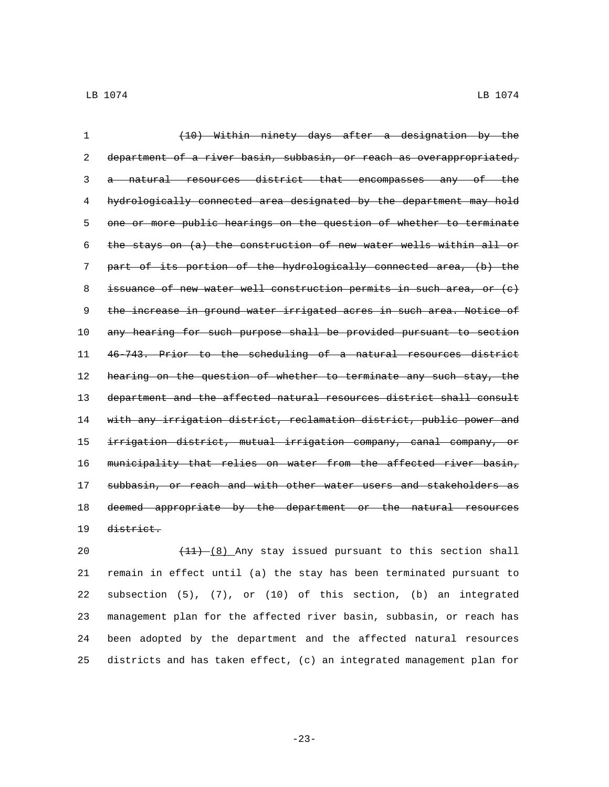| $\mathbf{1}$ | (10) Within ninety days after a designation by the                     |
|--------------|------------------------------------------------------------------------|
| 2            | department of a river basin, subbasin, or reach as overappropriated,   |
| 3            | natural resources district that encompasses any of the                 |
| 4            | hydrologically connected area designated by the department may hold    |
| 5            | one or more public hearings on the question of whether to terminate    |
| 6            | the stays on (a) the construction of new water wells within all or     |
| 7            | part of its portion of the hydrologically connected area, (b) the      |
| 8            | issuance of new water well construction permits in such area, or $(e)$ |
| 9            | the increase in ground water irrigated acres in such area. Notice of   |
| 10           | any hearing for such purpose shall be provided pursuant to section     |
| 11           | 46-743. Prior to the scheduling of a natural resources district        |
| 12           | hearing on the question of whether to terminate any such stay, the     |
| 13           | department and the affected natural resources district shall consult   |
| 14           | with any irrigation district, reclamation district, public power and   |
| 15           | irrigation district, mutual irrigation company, canal company, or      |
| 16           | municipality that relies on water from the affected river basin,       |
| 17           | subbasin, or reach and with other water users and stakeholders as      |
| 18           | deemed appropriate by the department or the natural resources          |
| 19           | district.                                                              |

20 (11) (8) Any stay issued pursuant to this section shall remain in effect until (a) the stay has been terminated pursuant to subsection (5), (7), or (10) of this section, (b) an integrated management plan for the affected river basin, subbasin, or reach has been adopted by the department and the affected natural resources districts and has taken effect, (c) an integrated management plan for

-23-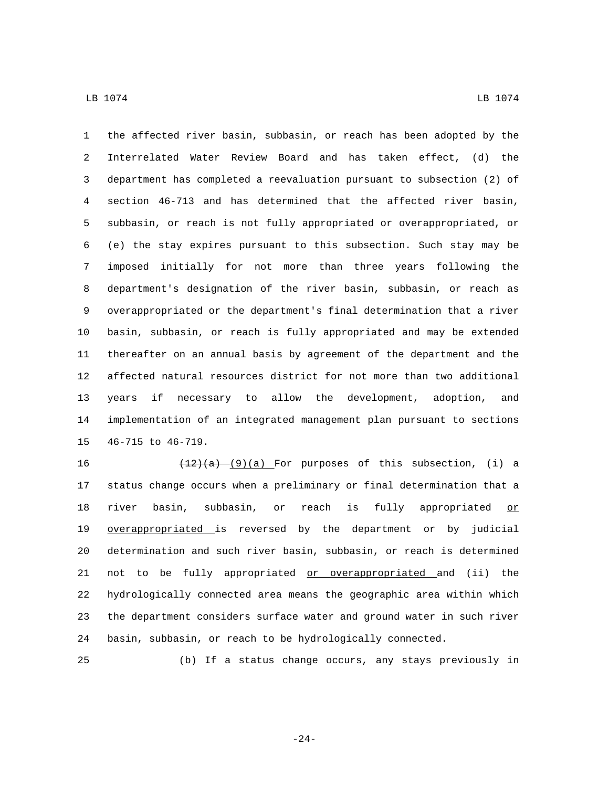the affected river basin, subbasin, or reach has been adopted by the Interrelated Water Review Board and has taken effect, (d) the department has completed a reevaluation pursuant to subsection (2) of section 46-713 and has determined that the affected river basin, subbasin, or reach is not fully appropriated or overappropriated, or (e) the stay expires pursuant to this subsection. Such stay may be imposed initially for not more than three years following the department's designation of the river basin, subbasin, or reach as overappropriated or the department's final determination that a river basin, subbasin, or reach is fully appropriated and may be extended thereafter on an annual basis by agreement of the department and the affected natural resources district for not more than two additional years if necessary to allow the development, adoption, and implementation of an integrated management plan pursuant to sections 15 46-715 to 46-719.

 $\left(\frac{12}{a}\right)\left(\frac{9}{a}\right)$  For purposes of this subsection, (i) a status change occurs when a preliminary or final determination that a 18 river basin, subbasin, or reach is fully appropriated or overappropriated is reversed by the department or by judicial determination and such river basin, subbasin, or reach is determined not to be fully appropriated or overappropriated and (ii) the hydrologically connected area means the geographic area within which the department considers surface water and ground water in such river basin, subbasin, or reach to be hydrologically connected.

(b) If a status change occurs, any stays previously in

-24-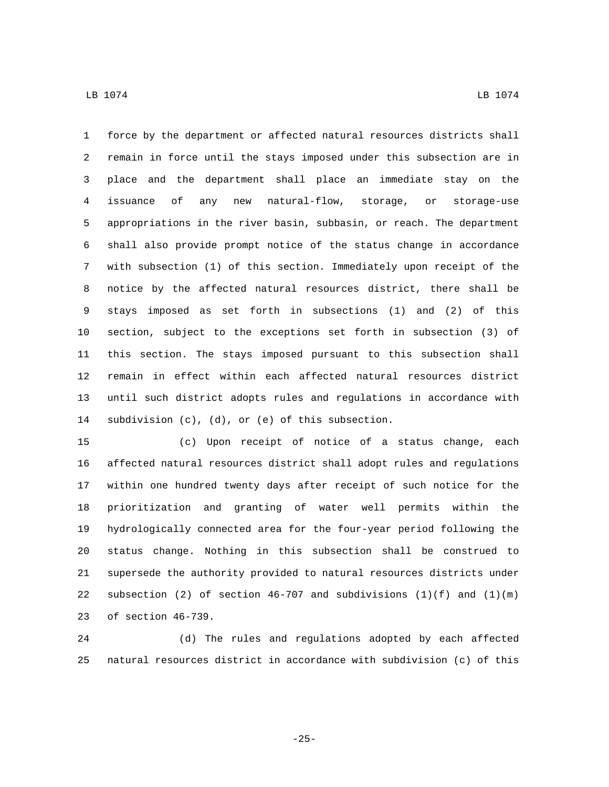force by the department or affected natural resources districts shall remain in force until the stays imposed under this subsection are in place and the department shall place an immediate stay on the issuance of any new natural-flow, storage, or storage-use appropriations in the river basin, subbasin, or reach. The department shall also provide prompt notice of the status change in accordance with subsection (1) of this section. Immediately upon receipt of the notice by the affected natural resources district, there shall be stays imposed as set forth in subsections (1) and (2) of this section, subject to the exceptions set forth in subsection (3) of this section. The stays imposed pursuant to this subsection shall remain in effect within each affected natural resources district until such district adopts rules and regulations in accordance with 14 subdivision (c), (d), or (e) of this subsection.

 (c) Upon receipt of notice of a status change, each affected natural resources district shall adopt rules and regulations within one hundred twenty days after receipt of such notice for the prioritization and granting of water well permits within the hydrologically connected area for the four-year period following the status change. Nothing in this subsection shall be construed to supersede the authority provided to natural resources districts under 22 subsection (2) of section  $46-707$  and subdivisions  $(1)(f)$  and  $(1)(m)$ 23 of section 46-739.

 (d) The rules and regulations adopted by each affected natural resources district in accordance with subdivision (c) of this

-25-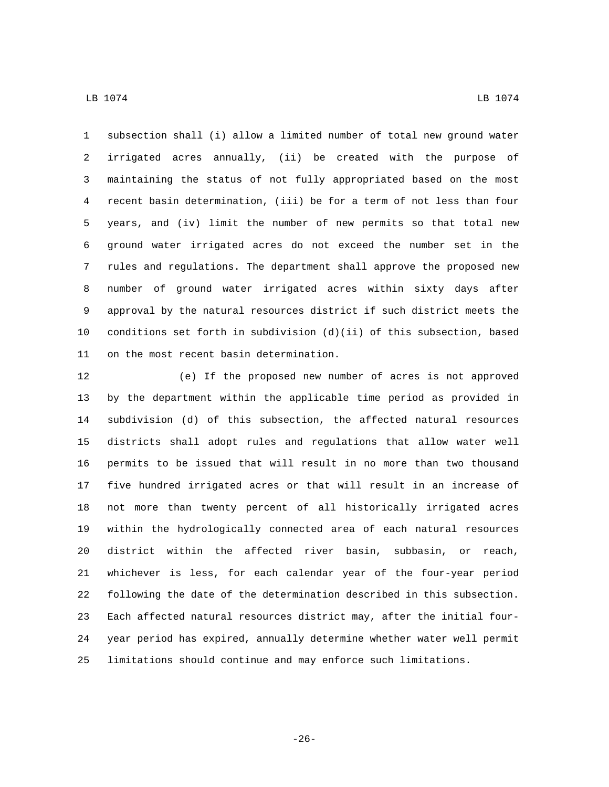subsection shall (i) allow a limited number of total new ground water irrigated acres annually, (ii) be created with the purpose of maintaining the status of not fully appropriated based on the most recent basin determination, (iii) be for a term of not less than four years, and (iv) limit the number of new permits so that total new ground water irrigated acres do not exceed the number set in the rules and regulations. The department shall approve the proposed new number of ground water irrigated acres within sixty days after approval by the natural resources district if such district meets the conditions set forth in subdivision (d)(ii) of this subsection, based 11 on the most recent basin determination.

 (e) If the proposed new number of acres is not approved by the department within the applicable time period as provided in subdivision (d) of this subsection, the affected natural resources districts shall adopt rules and regulations that allow water well permits to be issued that will result in no more than two thousand five hundred irrigated acres or that will result in an increase of not more than twenty percent of all historically irrigated acres within the hydrologically connected area of each natural resources district within the affected river basin, subbasin, or reach, whichever is less, for each calendar year of the four-year period following the date of the determination described in this subsection. Each affected natural resources district may, after the initial four- year period has expired, annually determine whether water well permit limitations should continue and may enforce such limitations.

-26-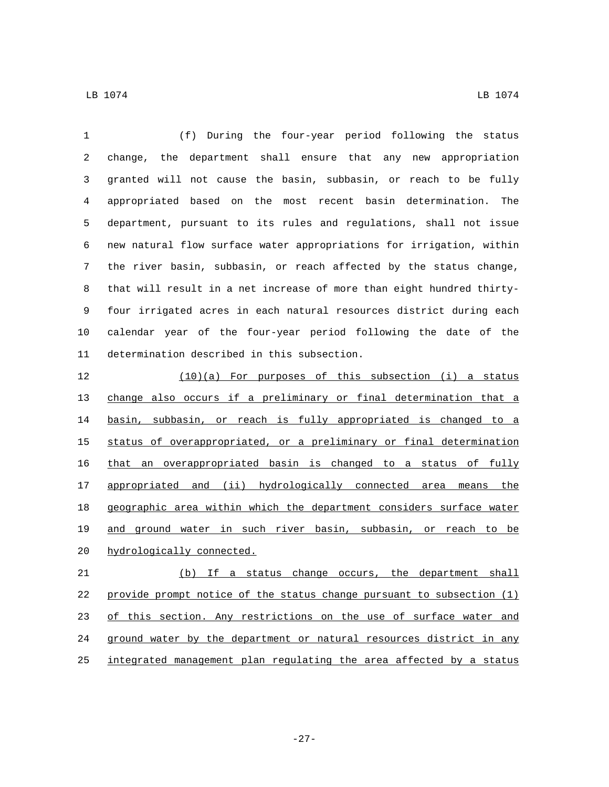(f) During the four-year period following the status change, the department shall ensure that any new appropriation granted will not cause the basin, subbasin, or reach to be fully appropriated based on the most recent basin determination. The department, pursuant to its rules and regulations, shall not issue new natural flow surface water appropriations for irrigation, within the river basin, subbasin, or reach affected by the status change, that will result in a net increase of more than eight hundred thirty- four irrigated acres in each natural resources district during each calendar year of the four-year period following the date of the 11 determination described in this subsection.

 (10)(a) For purposes of this subsection (i) a status change also occurs if a preliminary or final determination that a basin, subbasin, or reach is fully appropriated is changed to a status of overappropriated, or a preliminary or final determination that an overappropriated basin is changed to a status of fully appropriated and (ii) hydrologically connected area means the geographic area within which the department considers surface water and ground water in such river basin, subbasin, or reach to be 20 hydrologically connected.

 (b) If a status change occurs, the department shall provide prompt notice of the status change pursuant to subsection (1) 23 of this section. Any restrictions on the use of surface water and ground water by the department or natural resources district in any integrated management plan regulating the area affected by a status

-27-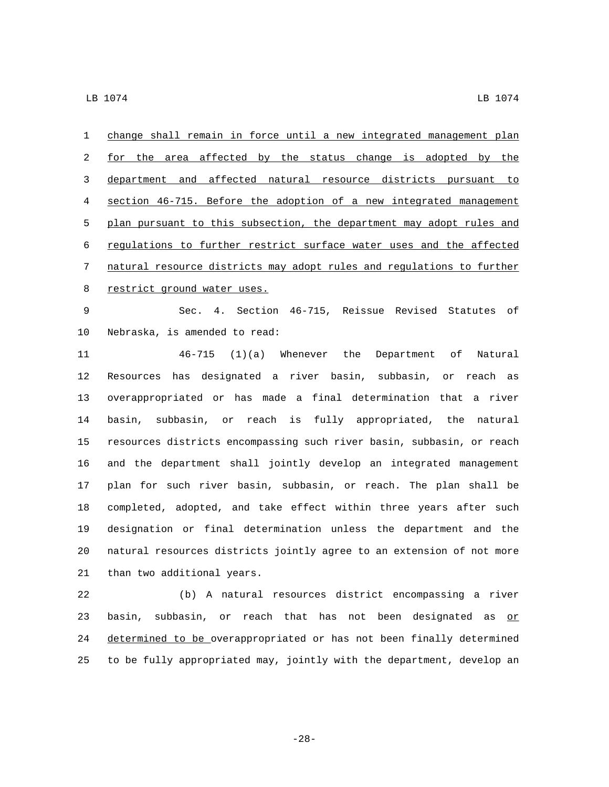change shall remain in force until a new integrated management plan 2 for the area affected by the status change is adopted by the department and affected natural resource districts pursuant to section 46-715. Before the adoption of a new integrated management plan pursuant to this subsection, the department may adopt rules and regulations to further restrict surface water uses and the affected natural resource districts may adopt rules and regulations to further 8 restrict ground water uses.

 Sec. 4. Section 46-715, Reissue Revised Statutes of 10 Nebraska, is amended to read:

 46-715 (1)(a) Whenever the Department of Natural Resources has designated a river basin, subbasin, or reach as overappropriated or has made a final determination that a river basin, subbasin, or reach is fully appropriated, the natural resources districts encompassing such river basin, subbasin, or reach and the department shall jointly develop an integrated management plan for such river basin, subbasin, or reach. The plan shall be completed, adopted, and take effect within three years after such designation or final determination unless the department and the natural resources districts jointly agree to an extension of not more 21 than two additional years.

 (b) A natural resources district encompassing a river 23 basin, subbasin, or reach that has not been designated as  $or$ </u> determined to be overappropriated or has not been finally determined to be fully appropriated may, jointly with the department, develop an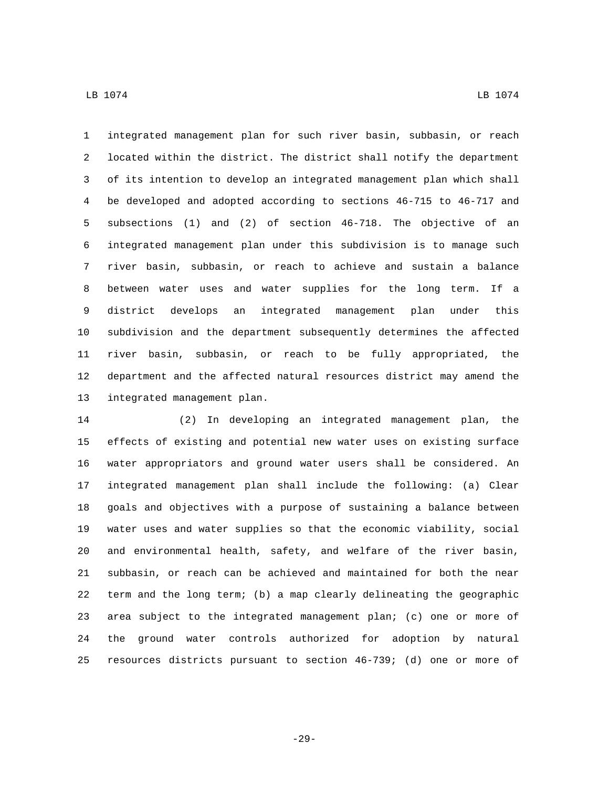integrated management plan for such river basin, subbasin, or reach located within the district. The district shall notify the department of its intention to develop an integrated management plan which shall be developed and adopted according to sections 46-715 to 46-717 and subsections (1) and (2) of section 46-718. The objective of an integrated management plan under this subdivision is to manage such river basin, subbasin, or reach to achieve and sustain a balance between water uses and water supplies for the long term. If a district develops an integrated management plan under this subdivision and the department subsequently determines the affected river basin, subbasin, or reach to be fully appropriated, the department and the affected natural resources district may amend the 13 integrated management plan.

 (2) In developing an integrated management plan, the effects of existing and potential new water uses on existing surface water appropriators and ground water users shall be considered. An integrated management plan shall include the following: (a) Clear goals and objectives with a purpose of sustaining a balance between water uses and water supplies so that the economic viability, social and environmental health, safety, and welfare of the river basin, subbasin, or reach can be achieved and maintained for both the near term and the long term; (b) a map clearly delineating the geographic area subject to the integrated management plan; (c) one or more of the ground water controls authorized for adoption by natural resources districts pursuant to section 46-739; (d) one or more of

-29-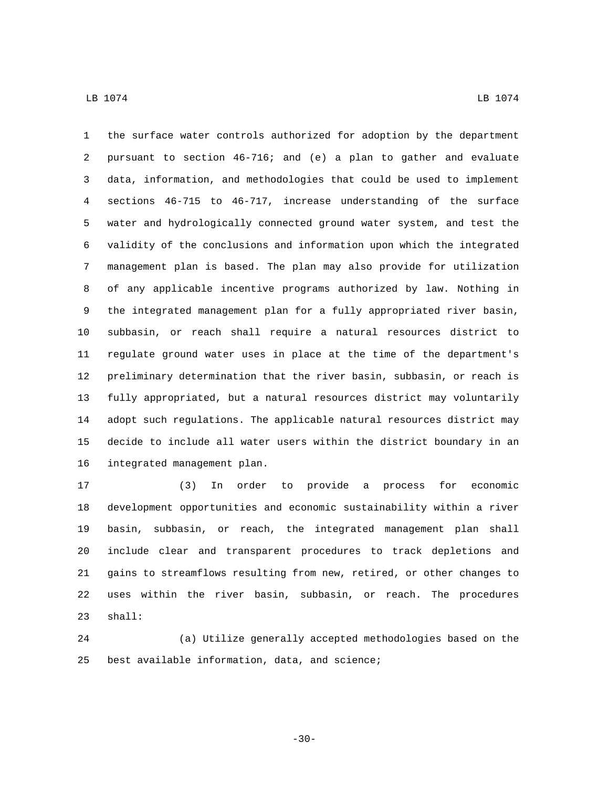the surface water controls authorized for adoption by the department pursuant to section 46-716; and (e) a plan to gather and evaluate data, information, and methodologies that could be used to implement sections 46-715 to 46-717, increase understanding of the surface water and hydrologically connected ground water system, and test the validity of the conclusions and information upon which the integrated management plan is based. The plan may also provide for utilization of any applicable incentive programs authorized by law. Nothing in the integrated management plan for a fully appropriated river basin, subbasin, or reach shall require a natural resources district to regulate ground water uses in place at the time of the department's preliminary determination that the river basin, subbasin, or reach is fully appropriated, but a natural resources district may voluntarily adopt such regulations. The applicable natural resources district may decide to include all water users within the district boundary in an 16 integrated management plan.

 (3) In order to provide a process for economic development opportunities and economic sustainability within a river basin, subbasin, or reach, the integrated management plan shall include clear and transparent procedures to track depletions and gains to streamflows resulting from new, retired, or other changes to uses within the river basin, subbasin, or reach. The procedures 23 shall:

 (a) Utilize generally accepted methodologies based on the 25 best available information, data, and science;

-30-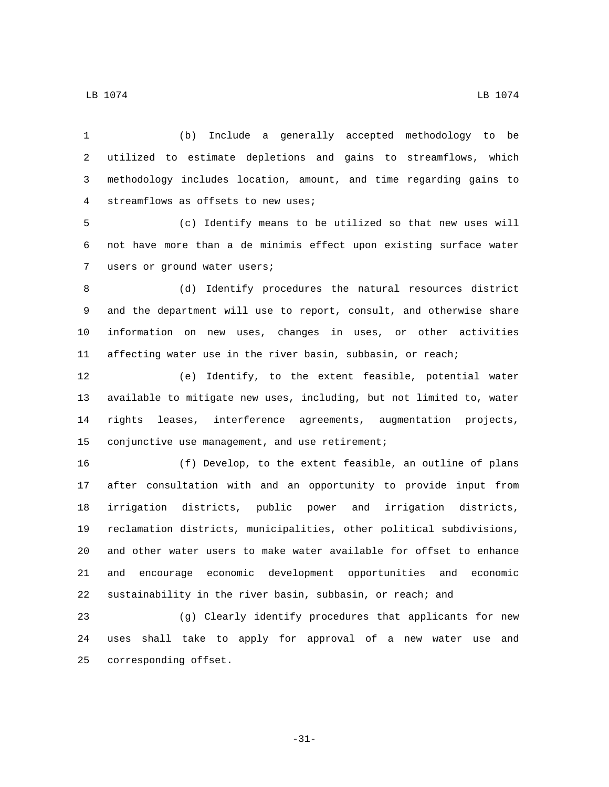(b) Include a generally accepted methodology to be utilized to estimate depletions and gains to streamflows, which methodology includes location, amount, and time regarding gains to 4 streamflows as offsets to new uses;

 (c) Identify means to be utilized so that new uses will not have more than a de minimis effect upon existing surface water 7 users or ground water users;

 (d) Identify procedures the natural resources district and the department will use to report, consult, and otherwise share information on new uses, changes in uses, or other activities affecting water use in the river basin, subbasin, or reach;

 (e) Identify, to the extent feasible, potential water available to mitigate new uses, including, but not limited to, water rights leases, interference agreements, augmentation projects, 15 conjunctive use management, and use retirement;

 (f) Develop, to the extent feasible, an outline of plans after consultation with and an opportunity to provide input from irrigation districts, public power and irrigation districts, reclamation districts, municipalities, other political subdivisions, and other water users to make water available for offset to enhance and encourage economic development opportunities and economic sustainability in the river basin, subbasin, or reach; and

 (g) Clearly identify procedures that applicants for new uses shall take to apply for approval of a new water use and 25 corresponding offset.

-31-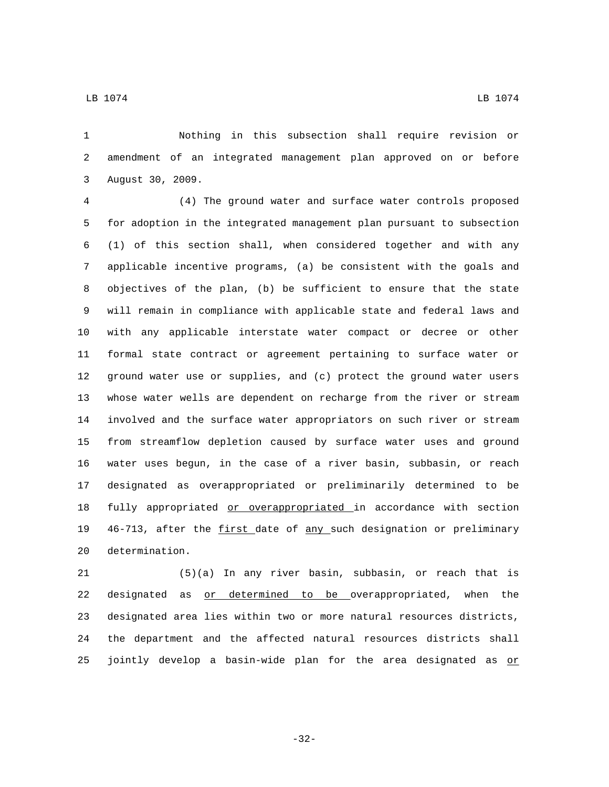Nothing in this subsection shall require revision or amendment of an integrated management plan approved on or before 3 August 30, 2009.

 (4) The ground water and surface water controls proposed for adoption in the integrated management plan pursuant to subsection (1) of this section shall, when considered together and with any applicable incentive programs, (a) be consistent with the goals and objectives of the plan, (b) be sufficient to ensure that the state will remain in compliance with applicable state and federal laws and with any applicable interstate water compact or decree or other formal state contract or agreement pertaining to surface water or ground water use or supplies, and (c) protect the ground water users whose water wells are dependent on recharge from the river or stream involved and the surface water appropriators on such river or stream from streamflow depletion caused by surface water uses and ground water uses begun, in the case of a river basin, subbasin, or reach designated as overappropriated or preliminarily determined to be 18 fully appropriated or overappropriated in accordance with section 46-713, after the first date of any such designation or preliminary 20 determination.

 (5)(a) In any river basin, subbasin, or reach that is designated as or determined to be overappropriated, when the designated area lies within two or more natural resources districts, the department and the affected natural resources districts shall 25 jointly develop a basin-wide plan for the area designated as  $p$ 

-32-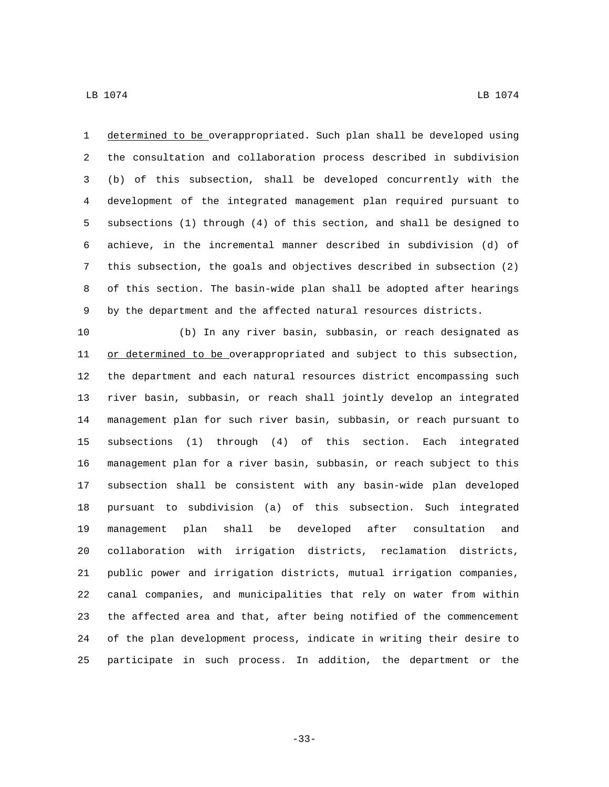determined to be overappropriated. Such plan shall be developed using the consultation and collaboration process described in subdivision (b) of this subsection, shall be developed concurrently with the development of the integrated management plan required pursuant to subsections (1) through (4) of this section, and shall be designed to achieve, in the incremental manner described in subdivision (d) of this subsection, the goals and objectives described in subsection (2) of this section. The basin-wide plan shall be adopted after hearings by the department and the affected natural resources districts.

 (b) In any river basin, subbasin, or reach designated as 11 or determined to be overappropriated and subject to this subsection, the department and each natural resources district encompassing such river basin, subbasin, or reach shall jointly develop an integrated management plan for such river basin, subbasin, or reach pursuant to subsections (1) through (4) of this section. Each integrated management plan for a river basin, subbasin, or reach subject to this subsection shall be consistent with any basin-wide plan developed pursuant to subdivision (a) of this subsection. Such integrated management plan shall be developed after consultation and collaboration with irrigation districts, reclamation districts, public power and irrigation districts, mutual irrigation companies, canal companies, and municipalities that rely on water from within the affected area and that, after being notified of the commencement of the plan development process, indicate in writing their desire to participate in such process. In addition, the department or the

-33-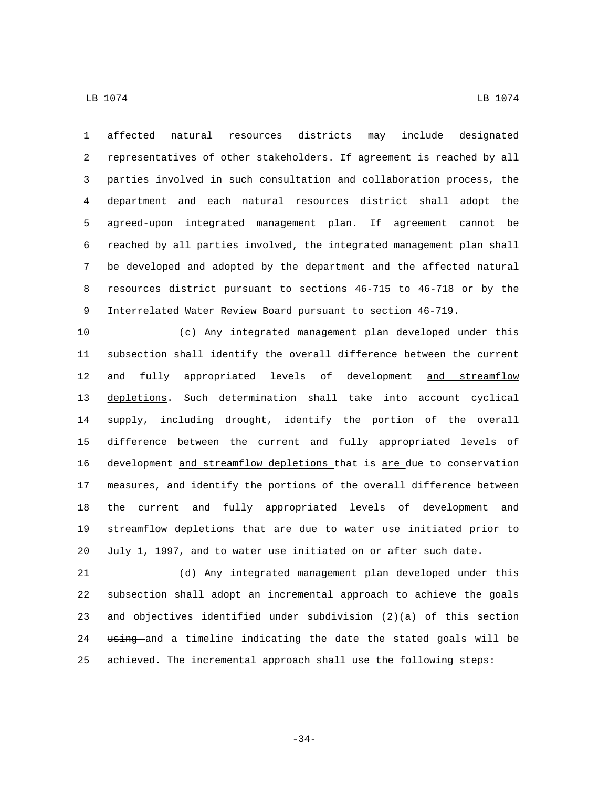$\,$  LB 1074  $\,$  LB 1074  $\,$ 

 affected natural resources districts may include designated representatives of other stakeholders. If agreement is reached by all parties involved in such consultation and collaboration process, the department and each natural resources district shall adopt the agreed-upon integrated management plan. If agreement cannot be reached by all parties involved, the integrated management plan shall be developed and adopted by the department and the affected natural resources district pursuant to sections 46-715 to 46-718 or by the Interrelated Water Review Board pursuant to section 46-719.

 (c) Any integrated management plan developed under this subsection shall identify the overall difference between the current 12 and fully appropriated levels of development and streamflow depletions. Such determination shall take into account cyclical supply, including drought, identify the portion of the overall difference between the current and fully appropriated levels of 16 development and streamflow depletions that is are due to conservation measures, and identify the portions of the overall difference between 18 the current and fully appropriated levels of development and streamflow depletions that are due to water use initiated prior to July 1, 1997, and to water use initiated on or after such date.

 (d) Any integrated management plan developed under this subsection shall adopt an incremental approach to achieve the goals and objectives identified under subdivision (2)(a) of this section 24 using and a timeline indicating the date the stated goals will be achieved. The incremental approach shall use the following steps:

-34-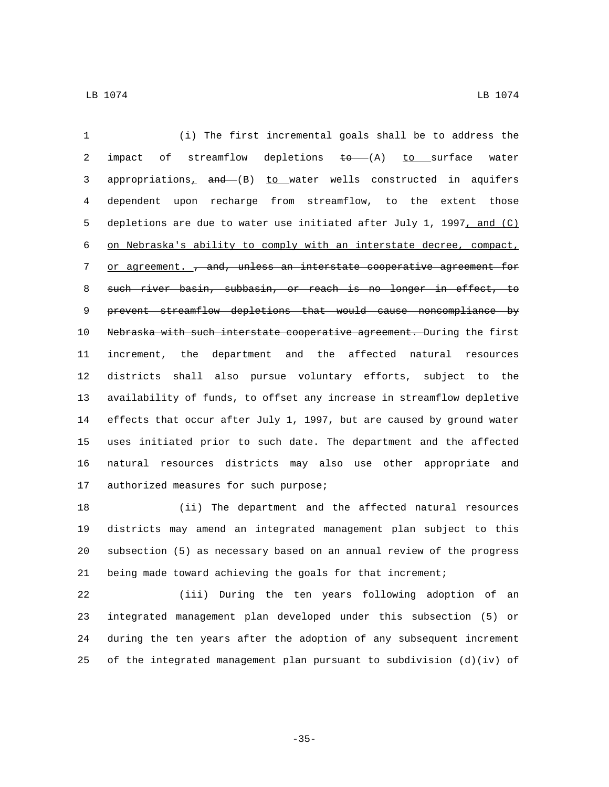(i) The first incremental goals shall be to address the 2 impact of streamflow depletions  $\overline{t}o$  (A)  $\underline{t}o$  surface water 3 appropriations<sub>1</sub> and (B) to water wells constructed in aquifers dependent upon recharge from streamflow, to the extent those depletions are due to water use initiated after July 1, 1997, and (C) on Nebraska's ability to comply with an interstate decree, compact, 7 or agreement. , and, unless an interstate cooperative agreement for such river basin, subbasin, or reach is no longer in effect, to prevent streamflow depletions that would cause noncompliance by Nebraska with such interstate cooperative agreement. During the first increment, the department and the affected natural resources districts shall also pursue voluntary efforts, subject to the availability of funds, to offset any increase in streamflow depletive effects that occur after July 1, 1997, but are caused by ground water uses initiated prior to such date. The department and the affected natural resources districts may also use other appropriate and 17 authorized measures for such purpose;

 (ii) The department and the affected natural resources districts may amend an integrated management plan subject to this subsection (5) as necessary based on an annual review of the progress being made toward achieving the goals for that increment;

 (iii) During the ten years following adoption of an integrated management plan developed under this subsection (5) or during the ten years after the adoption of any subsequent increment 25 of the integrated management plan pursuant to subdivision  $(d)(iv)$  of

-35-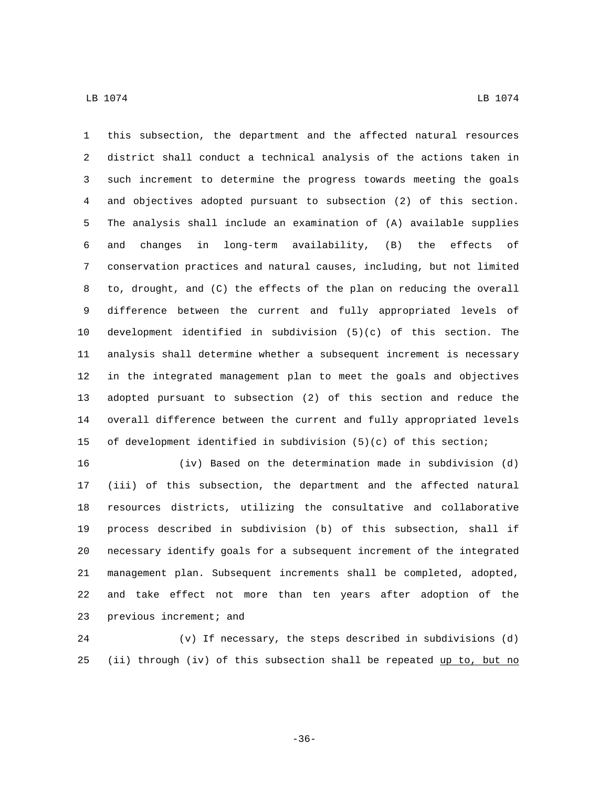this subsection, the department and the affected natural resources district shall conduct a technical analysis of the actions taken in such increment to determine the progress towards meeting the goals and objectives adopted pursuant to subsection (2) of this section. The analysis shall include an examination of (A) available supplies and changes in long-term availability, (B) the effects of conservation practices and natural causes, including, but not limited to, drought, and (C) the effects of the plan on reducing the overall difference between the current and fully appropriated levels of development identified in subdivision (5)(c) of this section. The analysis shall determine whether a subsequent increment is necessary in the integrated management plan to meet the goals and objectives adopted pursuant to subsection (2) of this section and reduce the overall difference between the current and fully appropriated levels of development identified in subdivision (5)(c) of this section;

 (iv) Based on the determination made in subdivision (d) (iii) of this subsection, the department and the affected natural resources districts, utilizing the consultative and collaborative process described in subdivision (b) of this subsection, shall if necessary identify goals for a subsequent increment of the integrated management plan. Subsequent increments shall be completed, adopted, and take effect not more than ten years after adoption of the 23 previous increment; and

 (v) If necessary, the steps described in subdivisions (d) (ii) through (iv) of this subsection shall be repeated up to, but no

-36-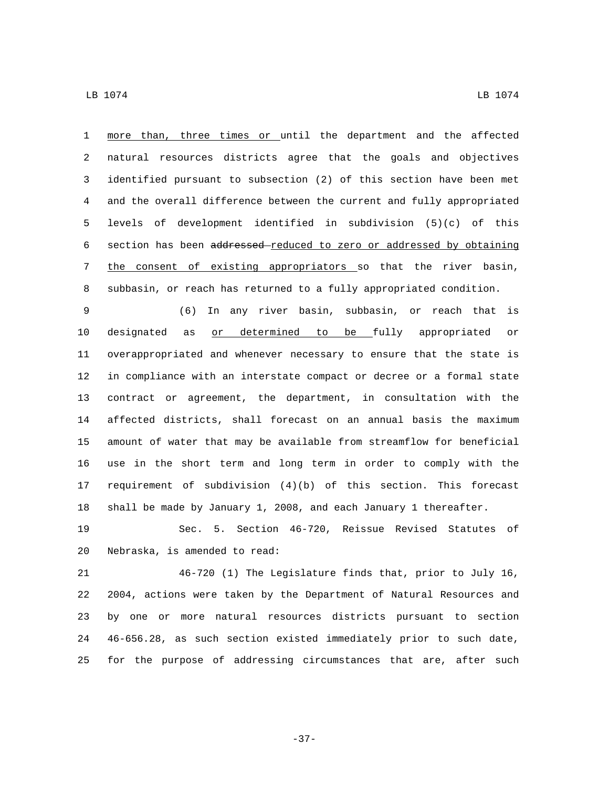more than, three times or until the department and the affected natural resources districts agree that the goals and objectives identified pursuant to subsection (2) of this section have been met and the overall difference between the current and fully appropriated levels of development identified in subdivision (5)(c) of this 6 section has been addressed-reduced to zero or addressed by obtaining the consent of existing appropriators so that the river basin, subbasin, or reach has returned to a fully appropriated condition.

 (6) In any river basin, subbasin, or reach that is designated as or determined to be fully appropriated or overappropriated and whenever necessary to ensure that the state is in compliance with an interstate compact or decree or a formal state contract or agreement, the department, in consultation with the affected districts, shall forecast on an annual basis the maximum amount of water that may be available from streamflow for beneficial use in the short term and long term in order to comply with the requirement of subdivision (4)(b) of this section. This forecast shall be made by January 1, 2008, and each January 1 thereafter.

 Sec. 5. Section 46-720, Reissue Revised Statutes of 20 Nebraska, is amended to read:

 46-720 (1) The Legislature finds that, prior to July 16, 2004, actions were taken by the Department of Natural Resources and by one or more natural resources districts pursuant to section 46-656.28, as such section existed immediately prior to such date, for the purpose of addressing circumstances that are, after such

-37-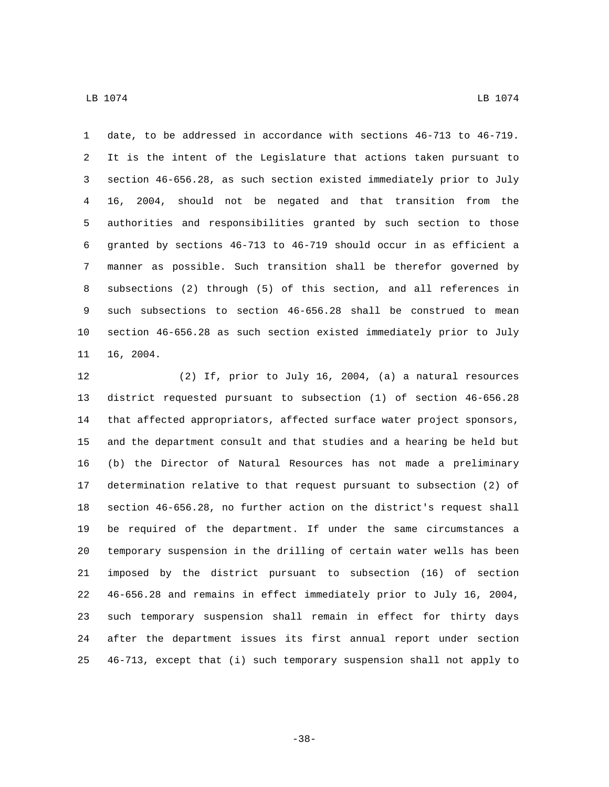date, to be addressed in accordance with sections 46-713 to 46-719. It is the intent of the Legislature that actions taken pursuant to section 46-656.28, as such section existed immediately prior to July 16, 2004, should not be negated and that transition from the authorities and responsibilities granted by such section to those granted by sections 46-713 to 46-719 should occur in as efficient a manner as possible. Such transition shall be therefor governed by subsections (2) through (5) of this section, and all references in such subsections to section 46-656.28 shall be construed to mean section 46-656.28 as such section existed immediately prior to July 16, 2004.

 (2) If, prior to July 16, 2004, (a) a natural resources district requested pursuant to subsection (1) of section 46-656.28 that affected appropriators, affected surface water project sponsors, and the department consult and that studies and a hearing be held but (b) the Director of Natural Resources has not made a preliminary determination relative to that request pursuant to subsection (2) of section 46-656.28, no further action on the district's request shall be required of the department. If under the same circumstances a temporary suspension in the drilling of certain water wells has been imposed by the district pursuant to subsection (16) of section 46-656.28 and remains in effect immediately prior to July 16, 2004, such temporary suspension shall remain in effect for thirty days after the department issues its first annual report under section 46-713, except that (i) such temporary suspension shall not apply to

-38-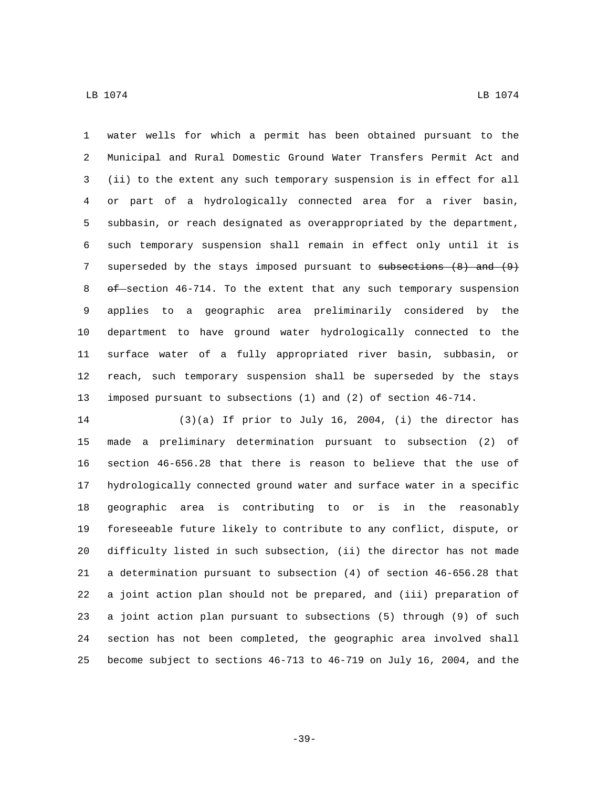$\,$  LB 1074  $\,$  LB 1074  $\,$ 

 water wells for which a permit has been obtained pursuant to the Municipal and Rural Domestic Ground Water Transfers Permit Act and (ii) to the extent any such temporary suspension is in effect for all or part of a hydrologically connected area for a river basin, subbasin, or reach designated as overappropriated by the department, such temporary suspension shall remain in effect only until it is 7 superseded by the stays imposed pursuant to subsections (8) and (9) 8 of section 46-714. To the extent that any such temporary suspension applies to a geographic area preliminarily considered by the department to have ground water hydrologically connected to the surface water of a fully appropriated river basin, subbasin, or reach, such temporary suspension shall be superseded by the stays imposed pursuant to subsections (1) and (2) of section 46-714.

 (3)(a) If prior to July 16, 2004, (i) the director has made a preliminary determination pursuant to subsection (2) of section 46-656.28 that there is reason to believe that the use of hydrologically connected ground water and surface water in a specific geographic area is contributing to or is in the reasonably foreseeable future likely to contribute to any conflict, dispute, or difficulty listed in such subsection, (ii) the director has not made a determination pursuant to subsection (4) of section 46-656.28 that a joint action plan should not be prepared, and (iii) preparation of a joint action plan pursuant to subsections (5) through (9) of such section has not been completed, the geographic area involved shall become subject to sections 46-713 to 46-719 on July 16, 2004, and the

-39-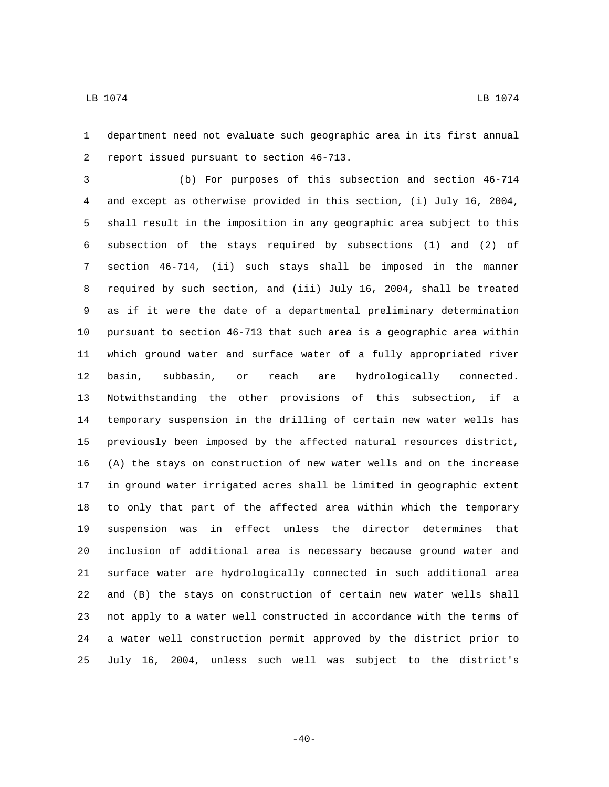department need not evaluate such geographic area in its first annual 2 report issued pursuant to section 46-713.

 (b) For purposes of this subsection and section 46-714 and except as otherwise provided in this section, (i) July 16, 2004, shall result in the imposition in any geographic area subject to this subsection of the stays required by subsections (1) and (2) of section 46-714, (ii) such stays shall be imposed in the manner required by such section, and (iii) July 16, 2004, shall be treated as if it were the date of a departmental preliminary determination pursuant to section 46-713 that such area is a geographic area within which ground water and surface water of a fully appropriated river basin, subbasin, or reach are hydrologically connected. Notwithstanding the other provisions of this subsection, if a temporary suspension in the drilling of certain new water wells has previously been imposed by the affected natural resources district, (A) the stays on construction of new water wells and on the increase in ground water irrigated acres shall be limited in geographic extent to only that part of the affected area within which the temporary suspension was in effect unless the director determines that inclusion of additional area is necessary because ground water and surface water are hydrologically connected in such additional area and (B) the stays on construction of certain new water wells shall not apply to a water well constructed in accordance with the terms of a water well construction permit approved by the district prior to July 16, 2004, unless such well was subject to the district's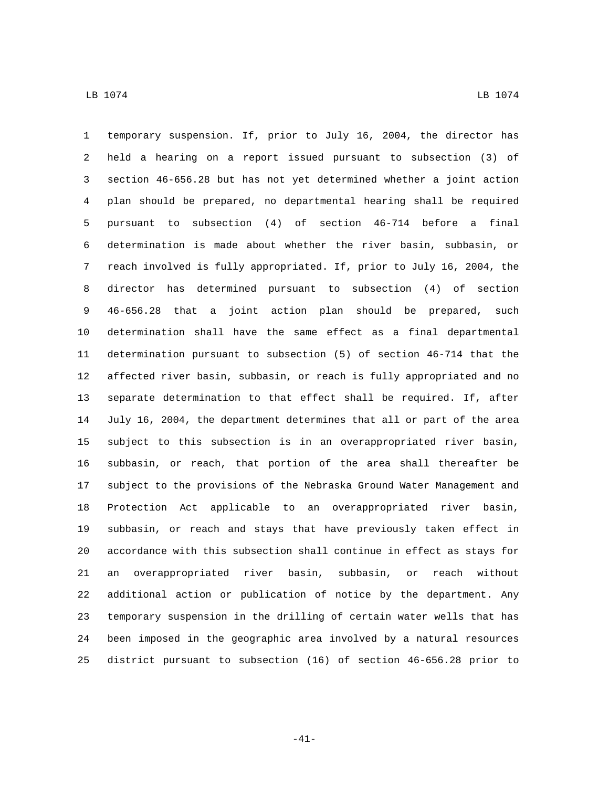temporary suspension. If, prior to July 16, 2004, the director has held a hearing on a report issued pursuant to subsection (3) of section 46-656.28 but has not yet determined whether a joint action plan should be prepared, no departmental hearing shall be required pursuant to subsection (4) of section 46-714 before a final determination is made about whether the river basin, subbasin, or reach involved is fully appropriated. If, prior to July 16, 2004, the director has determined pursuant to subsection (4) of section 46-656.28 that a joint action plan should be prepared, such determination shall have the same effect as a final departmental determination pursuant to subsection (5) of section 46-714 that the affected river basin, subbasin, or reach is fully appropriated and no separate determination to that effect shall be required. If, after July 16, 2004, the department determines that all or part of the area subject to this subsection is in an overappropriated river basin, subbasin, or reach, that portion of the area shall thereafter be subject to the provisions of the Nebraska Ground Water Management and Protection Act applicable to an overappropriated river basin, subbasin, or reach and stays that have previously taken effect in accordance with this subsection shall continue in effect as stays for an overappropriated river basin, subbasin, or reach without additional action or publication of notice by the department. Any temporary suspension in the drilling of certain water wells that has been imposed in the geographic area involved by a natural resources district pursuant to subsection (16) of section 46-656.28 prior to

-41-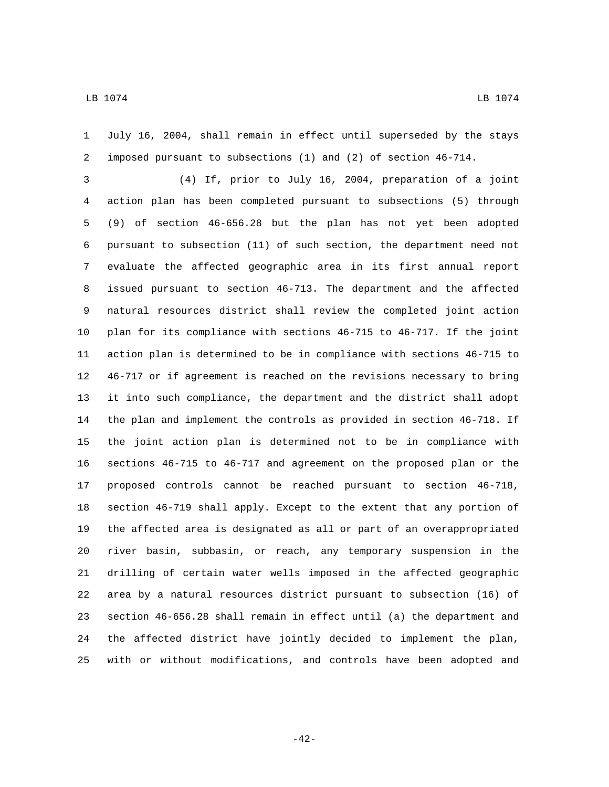July 16, 2004, shall remain in effect until superseded by the stays imposed pursuant to subsections (1) and (2) of section 46-714.

 (4) If, prior to July 16, 2004, preparation of a joint action plan has been completed pursuant to subsections (5) through (9) of section 46-656.28 but the plan has not yet been adopted pursuant to subsection (11) of such section, the department need not evaluate the affected geographic area in its first annual report issued pursuant to section 46-713. The department and the affected natural resources district shall review the completed joint action plan for its compliance with sections 46-715 to 46-717. If the joint action plan is determined to be in compliance with sections 46-715 to 46-717 or if agreement is reached on the revisions necessary to bring it into such compliance, the department and the district shall adopt the plan and implement the controls as provided in section 46-718. If the joint action plan is determined not to be in compliance with sections 46-715 to 46-717 and agreement on the proposed plan or the proposed controls cannot be reached pursuant to section 46-718, section 46-719 shall apply. Except to the extent that any portion of the affected area is designated as all or part of an overappropriated river basin, subbasin, or reach, any temporary suspension in the drilling of certain water wells imposed in the affected geographic area by a natural resources district pursuant to subsection (16) of section 46-656.28 shall remain in effect until (a) the department and the affected district have jointly decided to implement the plan, with or without modifications, and controls have been adopted and

-42-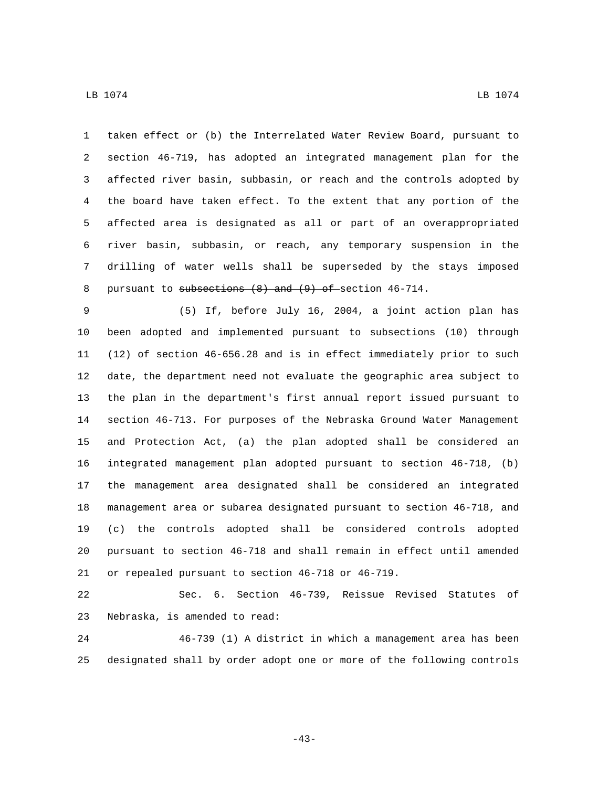taken effect or (b) the Interrelated Water Review Board, pursuant to section 46-719, has adopted an integrated management plan for the affected river basin, subbasin, or reach and the controls adopted by the board have taken effect. To the extent that any portion of the affected area is designated as all or part of an overappropriated river basin, subbasin, or reach, any temporary suspension in the drilling of water wells shall be superseded by the stays imposed 8 pursuant to subsections (8) and (9) of section 46-714.

 (5) If, before July 16, 2004, a joint action plan has been adopted and implemented pursuant to subsections (10) through (12) of section 46-656.28 and is in effect immediately prior to such date, the department need not evaluate the geographic area subject to the plan in the department's first annual report issued pursuant to section 46-713. For purposes of the Nebraska Ground Water Management and Protection Act, (a) the plan adopted shall be considered an integrated management plan adopted pursuant to section 46-718, (b) the management area designated shall be considered an integrated management area or subarea designated pursuant to section 46-718, and (c) the controls adopted shall be considered controls adopted pursuant to section 46-718 and shall remain in effect until amended 21 or repealed pursuant to section 46-718 or 46-719.

 Sec. 6. Section 46-739, Reissue Revised Statutes of 23 Nebraska, is amended to read:

 46-739 (1) A district in which a management area has been designated shall by order adopt one or more of the following controls

-43-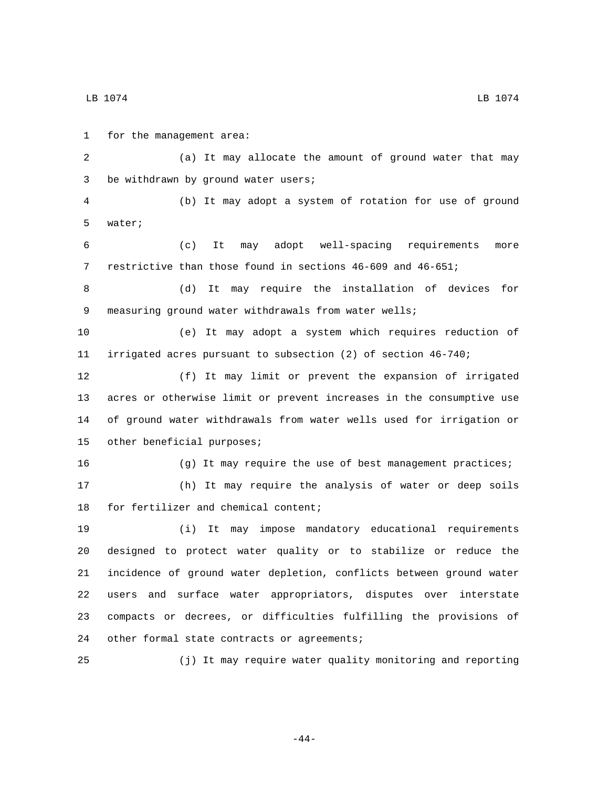1 for the management area: (a) It may allocate the amount of ground water that may 3 be withdrawn by ground water users; (b) It may adopt a system of rotation for use of ground 5 water; (c) It may adopt well-spacing requirements more restrictive than those found in sections 46-609 and 46-651; (d) It may require the installation of devices for 9 measuring ground water withdrawals from water wells; (e) It may adopt a system which requires reduction of irrigated acres pursuant to subsection (2) of section 46-740; (f) It may limit or prevent the expansion of irrigated acres or otherwise limit or prevent increases in the consumptive use of ground water withdrawals from water wells used for irrigation or 15 other beneficial purposes; (g) It may require the use of best management practices; (h) It may require the analysis of water or deep soils 18 for fertilizer and chemical content; (i) It may impose mandatory educational requirements designed to protect water quality or to stabilize or reduce the incidence of ground water depletion, conflicts between ground water users and surface water appropriators, disputes over interstate compacts or decrees, or difficulties fulfilling the provisions of 24 other formal state contracts or agreements; (j) It may require water quality monitoring and reporting

 $\,$  LB 1074  $\,$  LB 1074  $\,$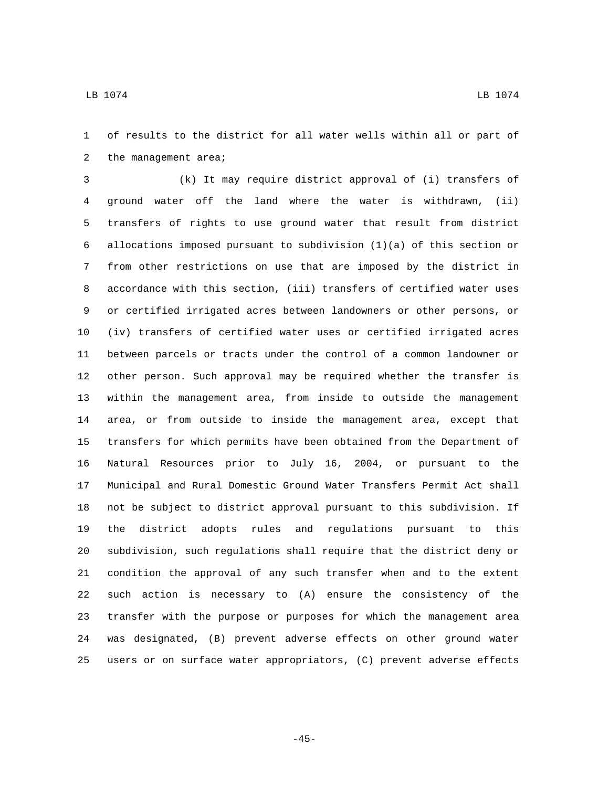of results to the district for all water wells within all or part of 2 the management area;

 (k) It may require district approval of (i) transfers of ground water off the land where the water is withdrawn, (ii) transfers of rights to use ground water that result from district allocations imposed pursuant to subdivision (1)(a) of this section or from other restrictions on use that are imposed by the district in accordance with this section, (iii) transfers of certified water uses or certified irrigated acres between landowners or other persons, or (iv) transfers of certified water uses or certified irrigated acres between parcels or tracts under the control of a common landowner or other person. Such approval may be required whether the transfer is within the management area, from inside to outside the management area, or from outside to inside the management area, except that transfers for which permits have been obtained from the Department of Natural Resources prior to July 16, 2004, or pursuant to the Municipal and Rural Domestic Ground Water Transfers Permit Act shall not be subject to district approval pursuant to this subdivision. If the district adopts rules and regulations pursuant to this subdivision, such regulations shall require that the district deny or condition the approval of any such transfer when and to the extent such action is necessary to (A) ensure the consistency of the transfer with the purpose or purposes for which the management area was designated, (B) prevent adverse effects on other ground water users or on surface water appropriators, (C) prevent adverse effects

-45-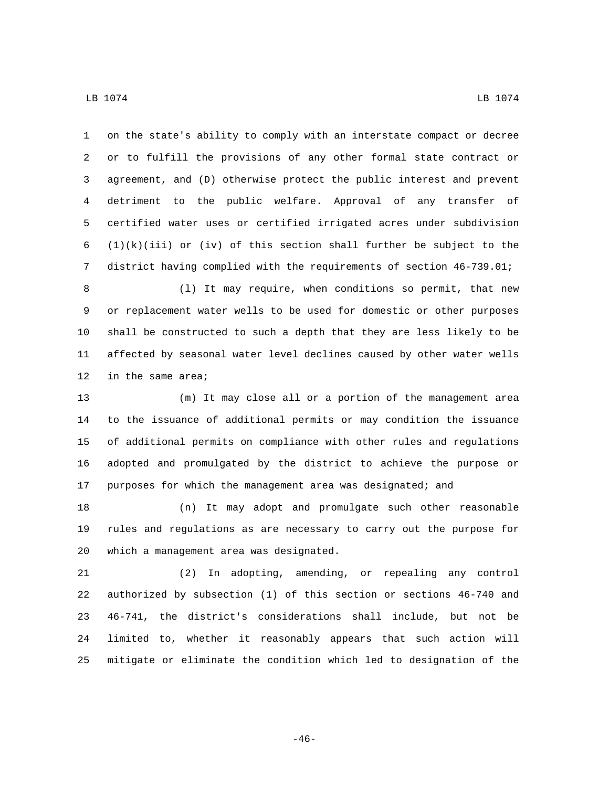on the state's ability to comply with an interstate compact or decree or to fulfill the provisions of any other formal state contract or agreement, and (D) otherwise protect the public interest and prevent detriment to the public welfare. Approval of any transfer of certified water uses or certified irrigated acres under subdivision 6 (1)(k)(iii) or (iv) of this section shall further be subject to the district having complied with the requirements of section 46-739.01;

8 (1) It may require, when conditions so permit, that new or replacement water wells to be used for domestic or other purposes shall be constructed to such a depth that they are less likely to be affected by seasonal water level declines caused by other water wells 12 in the same area;

 (m) It may close all or a portion of the management area to the issuance of additional permits or may condition the issuance of additional permits on compliance with other rules and regulations adopted and promulgated by the district to achieve the purpose or purposes for which the management area was designated; and

 (n) It may adopt and promulgate such other reasonable rules and regulations as are necessary to carry out the purpose for 20 which a management area was designated.

 (2) In adopting, amending, or repealing any control authorized by subsection (1) of this section or sections 46-740 and 46-741, the district's considerations shall include, but not be limited to, whether it reasonably appears that such action will mitigate or eliminate the condition which led to designation of the

-46-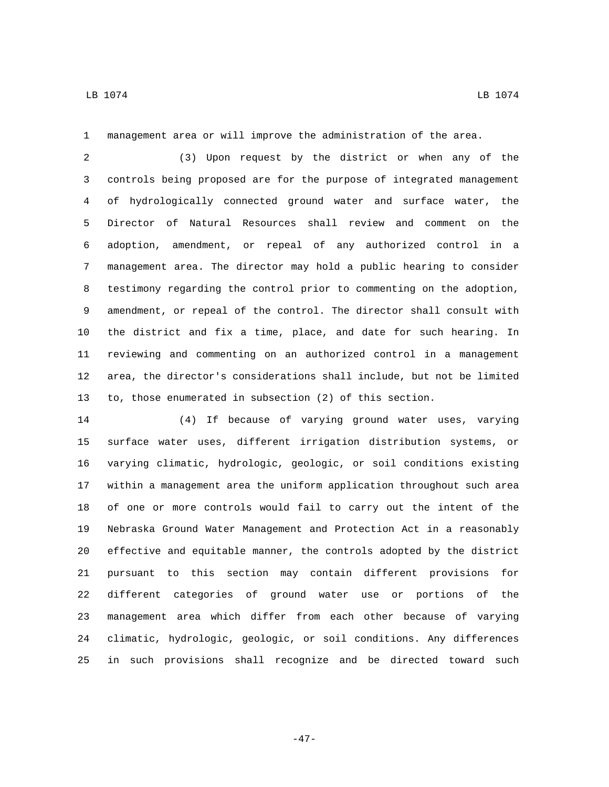management area or will improve the administration of the area.

 (3) Upon request by the district or when any of the controls being proposed are for the purpose of integrated management of hydrologically connected ground water and surface water, the Director of Natural Resources shall review and comment on the adoption, amendment, or repeal of any authorized control in a management area. The director may hold a public hearing to consider testimony regarding the control prior to commenting on the adoption, amendment, or repeal of the control. The director shall consult with the district and fix a time, place, and date for such hearing. In reviewing and commenting on an authorized control in a management area, the director's considerations shall include, but not be limited to, those enumerated in subsection (2) of this section.

 (4) If because of varying ground water uses, varying surface water uses, different irrigation distribution systems, or varying climatic, hydrologic, geologic, or soil conditions existing within a management area the uniform application throughout such area of one or more controls would fail to carry out the intent of the Nebraska Ground Water Management and Protection Act in a reasonably effective and equitable manner, the controls adopted by the district pursuant to this section may contain different provisions for different categories of ground water use or portions of the management area which differ from each other because of varying climatic, hydrologic, geologic, or soil conditions. Any differences in such provisions shall recognize and be directed toward such

-47-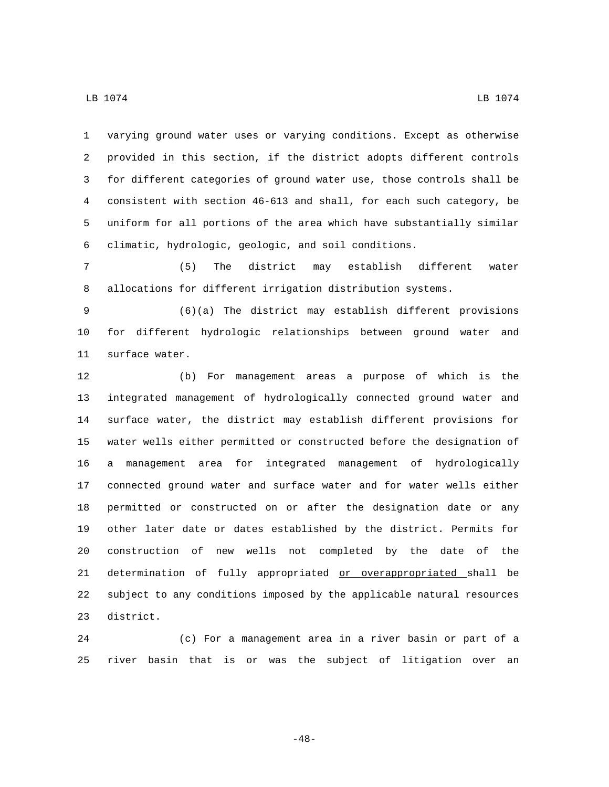varying ground water uses or varying conditions. Except as otherwise provided in this section, if the district adopts different controls

 for different categories of ground water use, those controls shall be consistent with section 46-613 and shall, for each such category, be uniform for all portions of the area which have substantially similar climatic, hydrologic, geologic, and soil conditions.

 (5) The district may establish different water allocations for different irrigation distribution systems.

 (6)(a) The district may establish different provisions for different hydrologic relationships between ground water and 11 surface water.

 (b) For management areas a purpose of which is the integrated management of hydrologically connected ground water and surface water, the district may establish different provisions for water wells either permitted or constructed before the designation of a management area for integrated management of hydrologically connected ground water and surface water and for water wells either permitted or constructed on or after the designation date or any other later date or dates established by the district. Permits for construction of new wells not completed by the date of the determination of fully appropriated or overappropriated shall be subject to any conditions imposed by the applicable natural resources 23 district.

 (c) For a management area in a river basin or part of a river basin that is or was the subject of litigation over an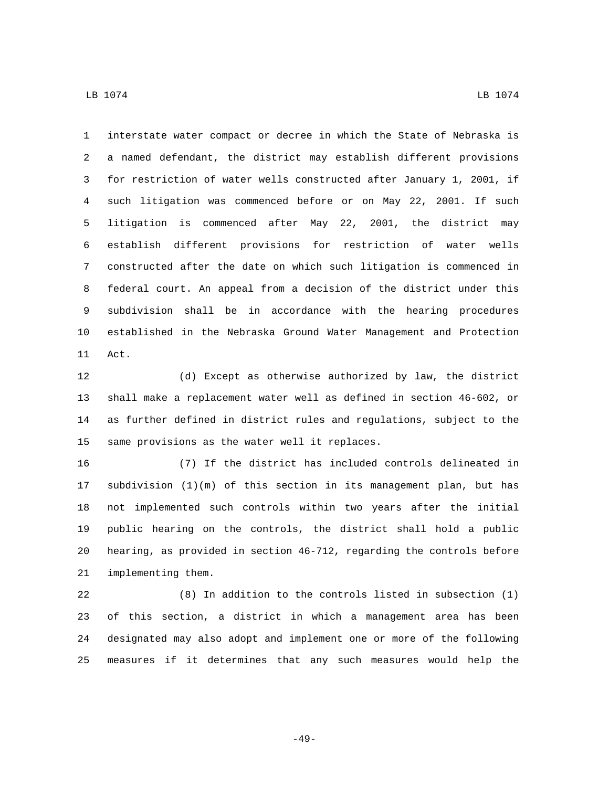interstate water compact or decree in which the State of Nebraska is a named defendant, the district may establish different provisions for restriction of water wells constructed after January 1, 2001, if such litigation was commenced before or on May 22, 2001. If such litigation is commenced after May 22, 2001, the district may establish different provisions for restriction of water wells constructed after the date on which such litigation is commenced in federal court. An appeal from a decision of the district under this subdivision shall be in accordance with the hearing procedures established in the Nebraska Ground Water Management and Protection 11 Act.

 (d) Except as otherwise authorized by law, the district shall make a replacement water well as defined in section 46-602, or as further defined in district rules and regulations, subject to the 15 same provisions as the water well it replaces.

 (7) If the district has included controls delineated in subdivision (1)(m) of this section in its management plan, but has not implemented such controls within two years after the initial public hearing on the controls, the district shall hold a public hearing, as provided in section 46-712, regarding the controls before 21 implementing them.

 (8) In addition to the controls listed in subsection (1) of this section, a district in which a management area has been designated may also adopt and implement one or more of the following measures if it determines that any such measures would help the

-49-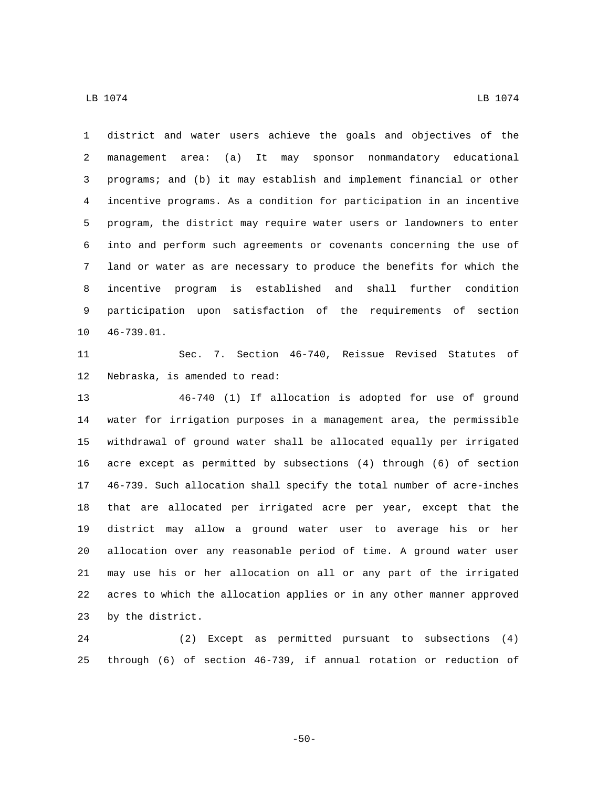district and water users achieve the goals and objectives of the management area: (a) It may sponsor nonmandatory educational programs; and (b) it may establish and implement financial or other incentive programs. As a condition for participation in an incentive program, the district may require water users or landowners to enter into and perform such agreements or covenants concerning the use of land or water as are necessary to produce the benefits for which the incentive program is established and shall further condition participation upon satisfaction of the requirements of section 10 46-739.01.

 Sec. 7. Section 46-740, Reissue Revised Statutes of 12 Nebraska, is amended to read:

 46-740 (1) If allocation is adopted for use of ground water for irrigation purposes in a management area, the permissible withdrawal of ground water shall be allocated equally per irrigated acre except as permitted by subsections (4) through (6) of section 46-739. Such allocation shall specify the total number of acre-inches that are allocated per irrigated acre per year, except that the district may allow a ground water user to average his or her allocation over any reasonable period of time. A ground water user may use his or her allocation on all or any part of the irrigated acres to which the allocation applies or in any other manner approved 23 by the district.

 (2) Except as permitted pursuant to subsections (4) through (6) of section 46-739, if annual rotation or reduction of

-50-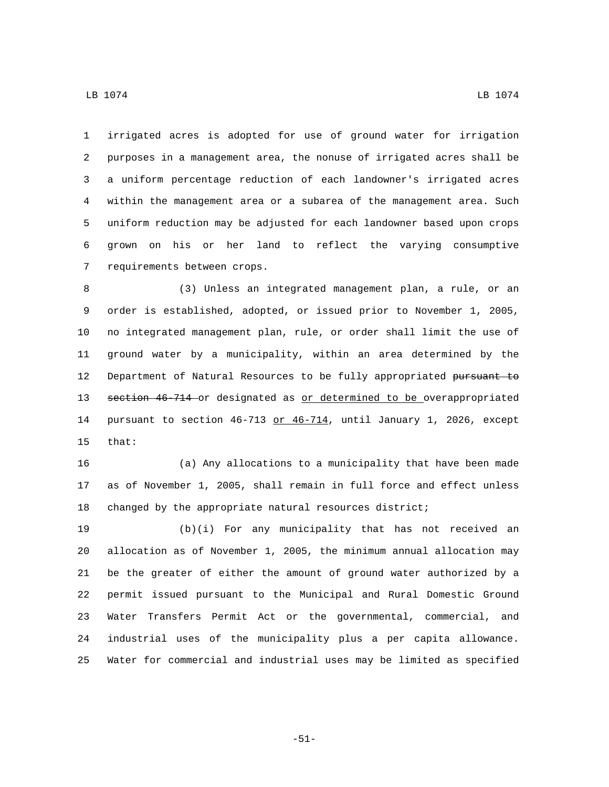$\,$  LB 1074  $\,$  LB 1074  $\,$ 

 purposes in a management area, the nonuse of irrigated acres shall be a uniform percentage reduction of each landowner's irrigated acres within the management area or a subarea of the management area. Such uniform reduction may be adjusted for each landowner based upon crops grown on his or her land to reflect the varying consumptive 7 requirements between crops.

 (3) Unless an integrated management plan, a rule, or an order is established, adopted, or issued prior to November 1, 2005, no integrated management plan, rule, or order shall limit the use of ground water by a municipality, within an area determined by the Department of Natural Resources to be fully appropriated pursuant to 13 section 46-714 or designated as or determined to be overappropriated 14 pursuant to section  $46-713$  or  $46-714$ , until January 1, 2026, except 15 that:

 (a) Any allocations to a municipality that have been made as of November 1, 2005, shall remain in full force and effect unless changed by the appropriate natural resources district;

 (b)(i) For any municipality that has not received an allocation as of November 1, 2005, the minimum annual allocation may be the greater of either the amount of ground water authorized by a permit issued pursuant to the Municipal and Rural Domestic Ground Water Transfers Permit Act or the governmental, commercial, and industrial uses of the municipality plus a per capita allowance. Water for commercial and industrial uses may be limited as specified

-51-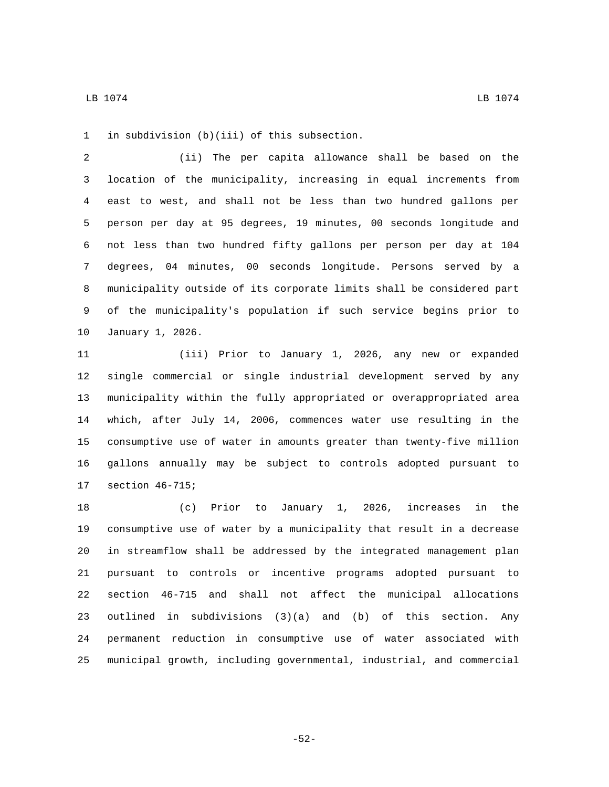in subdivision (b)(iii) of this subsection.1

 (ii) The per capita allowance shall be based on the location of the municipality, increasing in equal increments from east to west, and shall not be less than two hundred gallons per person per day at 95 degrees, 19 minutes, 00 seconds longitude and not less than two hundred fifty gallons per person per day at 104 degrees, 04 minutes, 00 seconds longitude. Persons served by a municipality outside of its corporate limits shall be considered part of the municipality's population if such service begins prior to 10 January 1, 2026.

 (iii) Prior to January 1, 2026, any new or expanded single commercial or single industrial development served by any municipality within the fully appropriated or overappropriated area which, after July 14, 2006, commences water use resulting in the consumptive use of water in amounts greater than twenty-five million gallons annually may be subject to controls adopted pursuant to 17 section 46-715;

 (c) Prior to January 1, 2026, increases in the consumptive use of water by a municipality that result in a decrease in streamflow shall be addressed by the integrated management plan pursuant to controls or incentive programs adopted pursuant to section 46-715 and shall not affect the municipal allocations outlined in subdivisions (3)(a) and (b) of this section. Any permanent reduction in consumptive use of water associated with municipal growth, including governmental, industrial, and commercial

-52-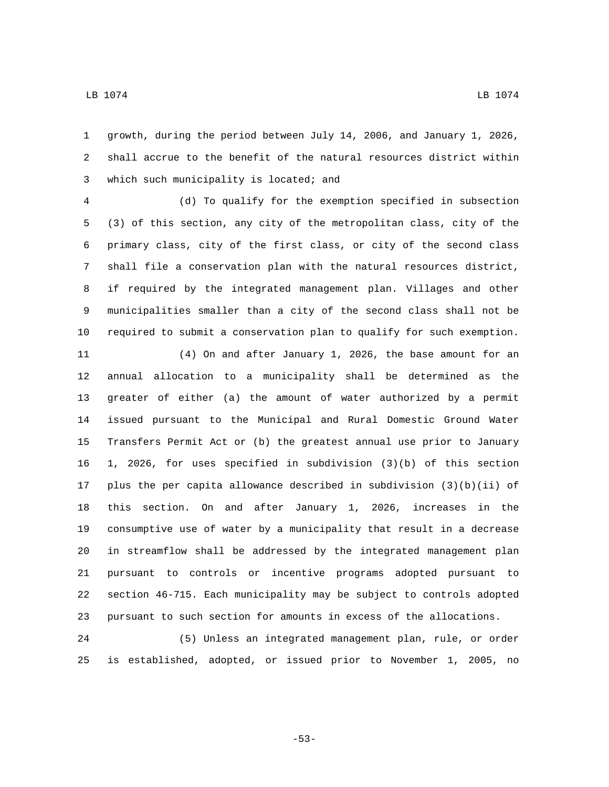growth, during the period between July 14, 2006, and January 1, 2026, shall accrue to the benefit of the natural resources district within 3 which such municipality is located; and

 (d) To qualify for the exemption specified in subsection (3) of this section, any city of the metropolitan class, city of the primary class, city of the first class, or city of the second class shall file a conservation plan with the natural resources district, if required by the integrated management plan. Villages and other municipalities smaller than a city of the second class shall not be required to submit a conservation plan to qualify for such exemption.

 (4) On and after January 1, 2026, the base amount for an annual allocation to a municipality shall be determined as the greater of either (a) the amount of water authorized by a permit issued pursuant to the Municipal and Rural Domestic Ground Water Transfers Permit Act or (b) the greatest annual use prior to January 1, 2026, for uses specified in subdivision (3)(b) of this section plus the per capita allowance described in subdivision (3)(b)(ii) of this section. On and after January 1, 2026, increases in the consumptive use of water by a municipality that result in a decrease in streamflow shall be addressed by the integrated management plan pursuant to controls or incentive programs adopted pursuant to section 46-715. Each municipality may be subject to controls adopted pursuant to such section for amounts in excess of the allocations.

 (5) Unless an integrated management plan, rule, or order is established, adopted, or issued prior to November 1, 2005, no

-53-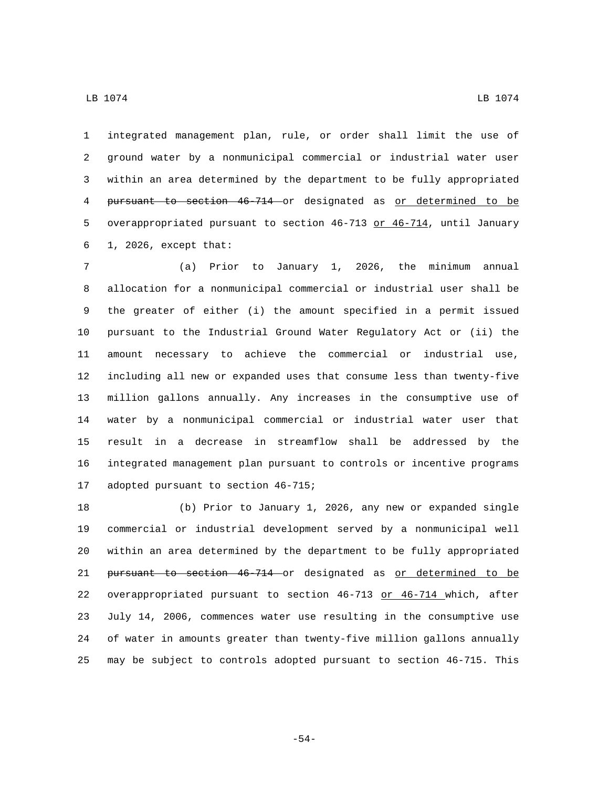integrated management plan, rule, or order shall limit the use of ground water by a nonmunicipal commercial or industrial water user within an area determined by the department to be fully appropriated pursuant to section 46-714 or designated as or determined to be overappropriated pursuant to section 46-713 or 46-714, until January  $1, 2026,$  except that:

 (a) Prior to January 1, 2026, the minimum annual allocation for a nonmunicipal commercial or industrial user shall be the greater of either (i) the amount specified in a permit issued pursuant to the Industrial Ground Water Regulatory Act or (ii) the amount necessary to achieve the commercial or industrial use, including all new or expanded uses that consume less than twenty-five million gallons annually. Any increases in the consumptive use of water by a nonmunicipal commercial or industrial water user that result in a decrease in streamflow shall be addressed by the integrated management plan pursuant to controls or incentive programs 17 adopted pursuant to section 46-715;

 (b) Prior to January 1, 2026, any new or expanded single commercial or industrial development served by a nonmunicipal well within an area determined by the department to be fully appropriated pursuant to section 46-714 or designated as or determined to be overappropriated pursuant to section 46-713 or 46-714 which, after July 14, 2006, commences water use resulting in the consumptive use of water in amounts greater than twenty-five million gallons annually may be subject to controls adopted pursuant to section 46-715. This

-54-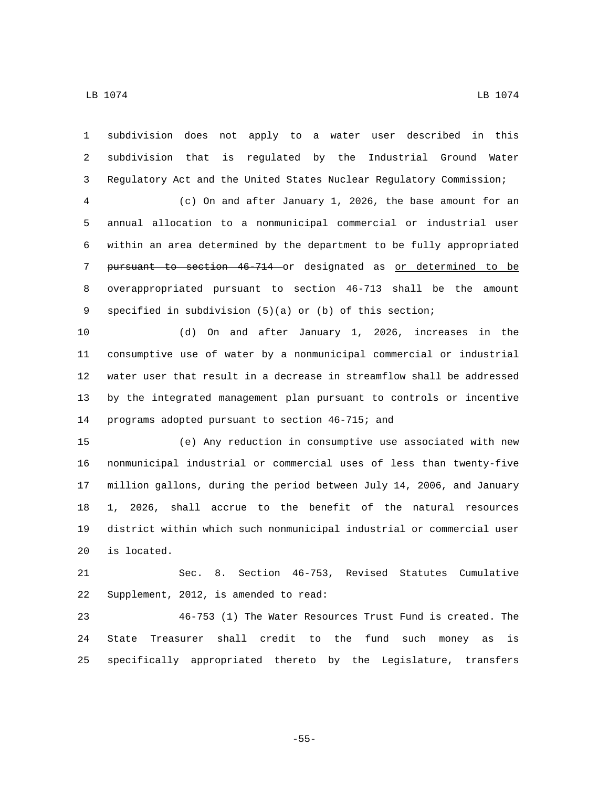$\,$  LB 1074  $\,$  LB 1074  $\,$ 

 subdivision does not apply to a water user described in this subdivision that is regulated by the Industrial Ground Water Regulatory Act and the United States Nuclear Regulatory Commission;

 (c) On and after January 1, 2026, the base amount for an annual allocation to a nonmunicipal commercial or industrial user within an area determined by the department to be fully appropriated 7 pursuant to section 46-714 or designated as or determined to be overappropriated pursuant to section 46-713 shall be the amount specified in subdivision (5)(a) or (b) of this section;

 (d) On and after January 1, 2026, increases in the consumptive use of water by a nonmunicipal commercial or industrial water user that result in a decrease in streamflow shall be addressed by the integrated management plan pursuant to controls or incentive 14 programs adopted pursuant to section 46-715; and

 (e) Any reduction in consumptive use associated with new nonmunicipal industrial or commercial uses of less than twenty-five million gallons, during the period between July 14, 2006, and January 1, 2026, shall accrue to the benefit of the natural resources district within which such nonmunicipal industrial or commercial user 20 is located.

 Sec. 8. Section 46-753, Revised Statutes Cumulative 22 Supplement, 2012, is amended to read:

 46-753 (1) The Water Resources Trust Fund is created. The State Treasurer shall credit to the fund such money as is specifically appropriated thereto by the Legislature, transfers

-55-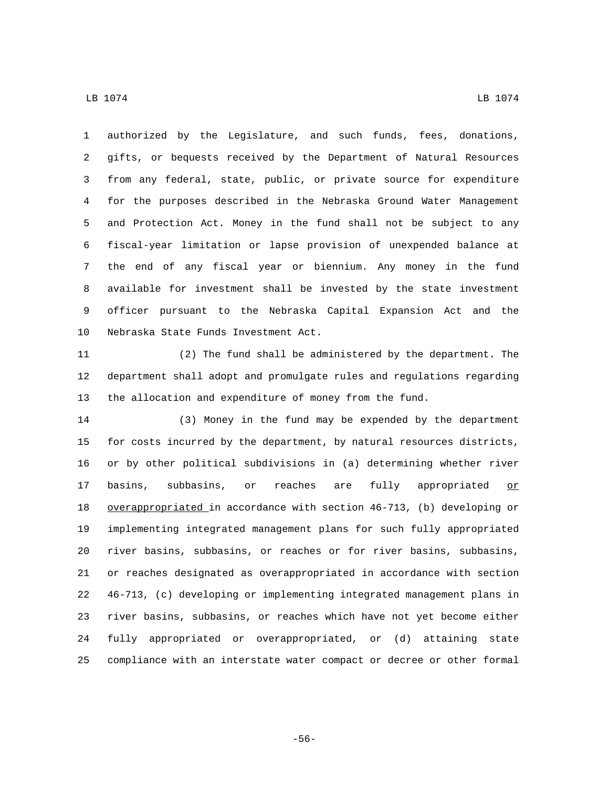$\,$  LB 1074  $\,$  LB 1074  $\,$ 

 authorized by the Legislature, and such funds, fees, donations, gifts, or bequests received by the Department of Natural Resources from any federal, state, public, or private source for expenditure for the purposes described in the Nebraska Ground Water Management and Protection Act. Money in the fund shall not be subject to any fiscal-year limitation or lapse provision of unexpended balance at the end of any fiscal year or biennium. Any money in the fund available for investment shall be invested by the state investment officer pursuant to the Nebraska Capital Expansion Act and the 10 Nebraska State Funds Investment Act.

 (2) The fund shall be administered by the department. The department shall adopt and promulgate rules and regulations regarding the allocation and expenditure of money from the fund.

 (3) Money in the fund may be expended by the department for costs incurred by the department, by natural resources districts, or by other political subdivisions in (a) determining whether river 17 basins, subbasins, or reaches are fully appropriated or overappropriated in accordance with section 46-713, (b) developing or implementing integrated management plans for such fully appropriated river basins, subbasins, or reaches or for river basins, subbasins, or reaches designated as overappropriated in accordance with section 46-713, (c) developing or implementing integrated management plans in river basins, subbasins, or reaches which have not yet become either fully appropriated or overappropriated, or (d) attaining state compliance with an interstate water compact or decree or other formal

-56-